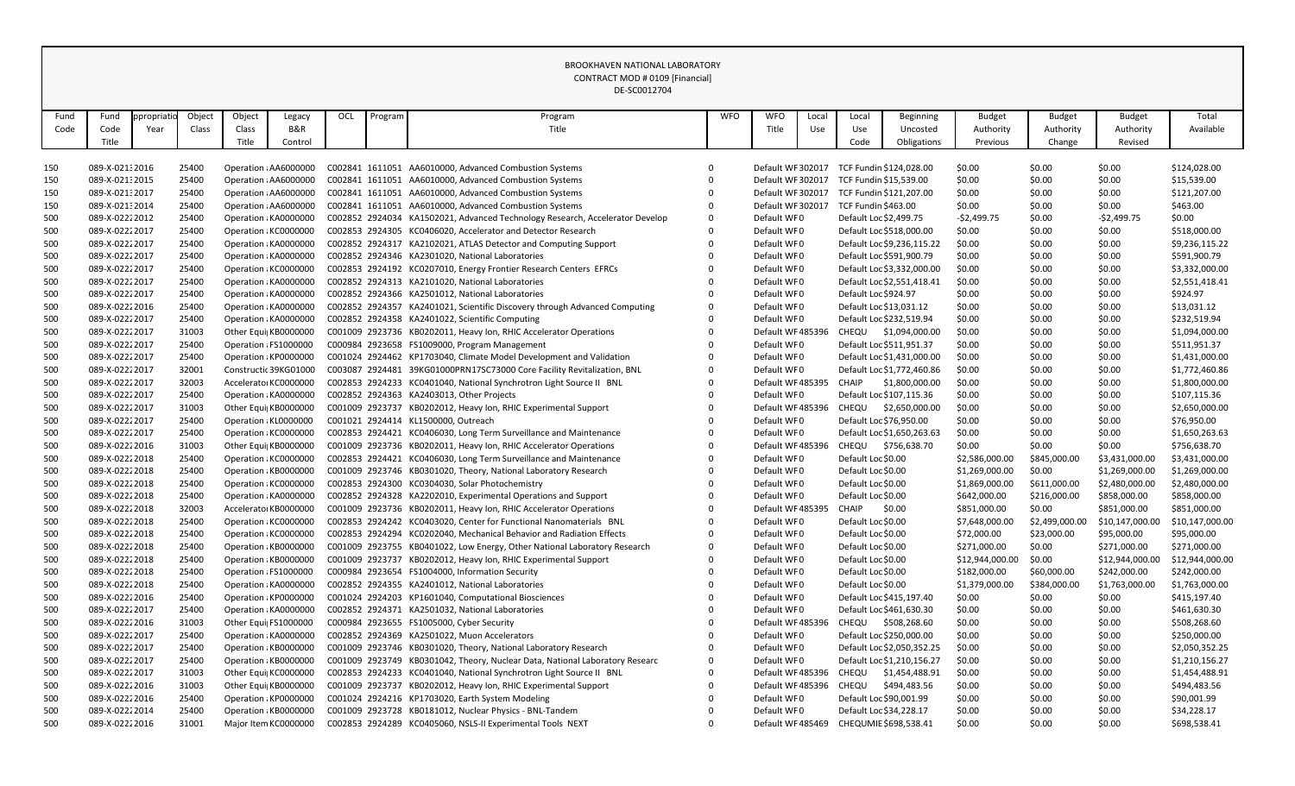|      |                |           |        |        |                       |     |         | DE-SC0012704                                                                 |            |                   |       |                    |                            |                 |                |                 |                 |
|------|----------------|-----------|--------|--------|-----------------------|-----|---------|------------------------------------------------------------------------------|------------|-------------------|-------|--------------------|----------------------------|-----------------|----------------|-----------------|-----------------|
| Fund | Fund           | propriati | Object | Object | Legacy                | OCL | Program | Program                                                                      | <b>WFO</b> | <b>WFO</b>        | Local | Local              | <b>Beginning</b>           | <b>Budget</b>   | <b>Budget</b>  | <b>Budget</b>   | Total           |
| Code | Code           | Year      | Class  | Class  | B&R                   |     |         | Title                                                                        |            | Title             | Use   | Use                | Uncosted                   | Authority       | Authority      | Authority       | Available       |
|      | Title          |           |        | Title  | Control               |     |         |                                                                              |            |                   |       | Code               | Obligations                | Previous        | Change         | Revised         |                 |
|      |                |           |        |        |                       |     |         |                                                                              |            |                   |       |                    |                            |                 |                |                 |                 |
| 150  | 089-X-02132016 |           | 25400  |        | Operation : AA6000000 |     |         | C002841 1611051 AA6010000, Advanced Combustion Systems                       | $\Omega$   | Default WF 302017 |       |                    | TCF Fundin \$124,028.00    | \$0.00          | \$0.00         | \$0.00          | \$124,028.00    |
| 150  | 089-X-02132015 |           | 25400  |        | Operation : AA6000000 |     |         | C002841 1611051 AA6010000, Advanced Combustion Systems                       | $\Omega$   | Default WF 302017 |       |                    | TCF Fundin \$15,539.00     | \$0.00          | \$0.00         | \$0.00          | \$15,539.00     |
| 150  | 089-X-02132017 |           | 25400  |        | Operation : AA6000000 |     |         | C002841 1611051 AA6010000, Advanced Combustion Systems                       |            | Default WF 302017 |       |                    | TCF Fundin \$121,207.00    | \$0.00          | \$0.00         | \$0.00          | \$121,207.00    |
| 150  | 089-X-02132014 |           | 25400  |        | Operation : AA6000000 |     |         | C002841 1611051 AA6010000, Advanced Combustion Systems                       | $\Omega$   | Default WF 302017 |       |                    | TCF Fundin \$463.00        | \$0.00          | \$0.00         | \$0.00          | \$463.00        |
| 500  | 089-X-02222012 |           | 25400  |        | Operation : KA0000000 |     |         | C002852 2924034 KA1502021, Advanced Technology Research, Accelerator Develop | 0          | Default WF0       |       |                    | Default Loc \$2,499.75     | -\$2,499.75     | \$0.00         | $-52,499.75$    | \$0.00          |
| 500  | 089-X-02222017 |           | 25400  |        | Operation : KC0000000 |     |         | C002853 2924305 KC0406020, Accelerator and Detector Research                 | $\Omega$   | Default WF0       |       |                    | Default Loc \$518,000.00   | \$0.00          | \$0.00         | \$0.00          | \$518,000.00    |
| 500  | 089-X-02222017 |           | 25400  |        | Operation : KA0000000 |     |         | C002852 2924317 KA2102021, ATLAS Detector and Computing Support              | $\Omega$   | Default WF0       |       |                    | Default Loc \$9,236,115.22 | \$0.00          | \$0.00         | \$0.00          | \$9,236,115.22  |
| 500  | 089-X-02222017 |           | 25400  |        | Operation : KA0000000 |     |         | C002852 2924346 KA2301020, National Laboratories                             |            | Default WF0       |       |                    | Default Loc \$591,900.79   | \$0.00          | \$0.00         | \$0.00          | \$591,900.79    |
| 500  | 089-X-02222017 |           | 25400  |        | Operation : KC0000000 |     |         | C002853 2924192 KC0207010, Energy Frontier Research Centers EFRCs            |            | Default WF0       |       |                    | Default Loc \$3,332,000.00 | \$0.00          | \$0.00         | \$0.00          | \$3,332,000.00  |
| 500  | 089-X-02222017 |           | 25400  |        | Operation : KA0000000 |     |         | C002852 2924313 KA2101020, National Laboratories                             |            | Default WF0       |       |                    | Default Loc \$2,551,418.41 | \$0.00          | \$0.00         | \$0.00          | \$2,551,418.41  |
| 500  | 089-X-02222017 |           | 25400  |        | Operation : KA0000000 |     |         | C002852 2924366 KA2501012, National Laboratories                             | 0          | Default WF0       |       |                    | Default Loc \$924.97       | \$0.00          | \$0.00         | \$0.00          | \$924.97        |
| 500  | 089-X-02222016 |           | 25400  |        | Operation : KA0000000 |     |         | C002852 2924357 KA2401021, Scientific Discovery through Advanced Computing   | $\Omega$   | Default WF0       |       |                    | Default Loc \$13,031.12    | \$0.00          | \$0.00         | \$0.00          | \$13,031.12     |
| 500  | 089-X-02222017 |           | 25400  |        | Operation : KA0000000 |     |         | C002852 2924358 KA2401022, Scientific Computing                              | $\Omega$   | Default WF0       |       |                    | Default Loc \$232,519.94   | \$0.00          | \$0.00         | \$0.00          | \$232,519.94    |
| 500  | 089-X-02222017 |           | 31003  |        | Other Equi KB0000000  |     |         | C001009 2923736 KB0202011, Heavy Ion, RHIC Accelerator Operations            |            | Default WF485396  |       |                    | CHEQU \$1,094,000.00       | \$0.00          | \$0.00         | \$0.00          | \$1,094,000.00  |
| 500  | 089-X-02222017 |           | 25400  |        | Operation : FS1000000 |     |         | C000984 2923658 FS1009000, Program Management                                |            | Default WF0       |       |                    | Default Loc \$511,951.37   | \$0.00          | \$0.00         | \$0.00          | \$511,951.37    |
| 500  | 089-X-02222017 |           | 25400  |        | Operation : KP0000000 |     |         | C001024 2924462 KP1703040, Climate Model Development and Validation          |            | Default WF0       |       |                    | Default Loc \$1,431,000.00 | \$0.00          | \$0.00         | \$0.00          | \$1,431,000.00  |
| 500  | 089-X-02222017 |           | 32001  |        | Constructic 39KG01000 |     |         | C003087 2924481 39KG01000PRN17SC73000 Core Facility Revitalization, BNL      | $\Omega$   | Default WF0       |       |                    | Default Loc \$1,772,460.86 | \$0.00          | \$0.00         | \$0.00          | \$1,772,460.86  |
| 500  | 089-X-02222017 |           | 32003  |        | Accelerator KC0000000 |     |         | C002853 2924233 KC0401040, National Synchrotron Light Source II BNL          |            | Default WF485395  |       | CHAIP              | \$1,800,000.00             | \$0.00          | \$0.00         | \$0.00          | \$1,800,000.00  |
| 500  | 089-X-02222017 |           | 25400  |        | Operation : KA0000000 |     |         | C002852 2924363 KA2403013, Other Projects                                    |            | Default WF0       |       |                    | Default Loc \$107,115.36   | \$0.00          | \$0.00         | \$0.00          | \$107,115.36    |
| 500  | 089-X-02222017 |           | 31003  |        | Other Equi  KB0000000 |     |         | C001009 2923737 KB0202012, Heavy Ion, RHIC Experimental Support              |            | Default WF485396  |       | <b>CHEQU</b>       | \$2,650,000.00             | \$0.00          | \$0.00         | \$0.00          | \$2,650,000.00  |
| 500  | 089-X-02222017 |           | 25400  |        | Operation : KL0000000 |     |         | C001021 2924414 KL1500000, Outreach                                          |            | Default WF0       |       |                    | Default Loc \$76,950.00    | \$0.00          | \$0.00         | \$0.00          | \$76,950.00     |
| 500  | 089-X-02222017 |           | 25400  |        | Operation : KC0000000 |     |         | C002853 2924421 KC0406030, Long Term Surveillance and Maintenance            |            | Default WF0       |       |                    | Default Loc \$1,650,263.63 | \$0.00          | \$0.00         | \$0.00          | \$1,650,263.63  |
| 500  | 089-X-02222016 |           | 31003  |        | Other Equi  KB0000000 |     |         | C001009 2923736 KB0202011, Heavy Ion, RHIC Accelerator Operations            |            | Default WF485396  |       |                    | CHEQU \$756,638.70         | \$0.00          | \$0.00         | \$0.00          | \$756,638.70    |
| 500  | 089-X-02222018 |           | 25400  |        | Operation : KC0000000 |     |         | C002853 2924421 KC0406030, Long Term Surveillance and Maintenance            |            | Default WF0       |       | Default Loc \$0.00 |                            | \$2,586,000.00  | \$845,000.00   | \$3,431,000.00  | \$3,431,000.00  |
| 500  | 089-X-02222018 |           | 25400  |        | Operation : KB0000000 |     |         | C001009 2923746 KB0301020, Theory, National Laboratory Research              |            | Default WF0       |       | Default Loc \$0.00 |                            | \$1,269,000.00  | \$0.00         | \$1,269,000.00  | \$1,269,000.00  |
| 500  | 089-X-02222018 |           | 25400  |        | Operation : KC0000000 |     |         | C002853 2924300 KC0304030, Solar Photochemistry                              |            | Default WF0       |       | Default Loc \$0.00 |                            | \$1,869,000.00  | \$611,000.00   | \$2,480,000.00  | \$2,480,000.00  |
| 500  | 089-X-02222018 |           | 25400  |        | Operation : KA0000000 |     |         | C002852 2924328 KA2202010, Experimental Operations and Support               | 0          | Default WF0       |       | Default Loc \$0.00 |                            | \$642,000.00    | \$216,000.00   | \$858,000.00    | \$858,000.00    |
| 500  | 089-X-02222018 |           | 32003  |        | Accelerator KB0000000 |     |         | C001009 2923736 KB0202011, Heavy Ion, RHIC Accelerator Operations            | 0          | Default WF485395  |       | CHAIP              | \$0.00                     | \$851,000.00    | \$0.00         | \$851,000.00    | \$851,000.00    |
| 500  | 089-X-02222018 |           | 25400  |        | Operation : KC0000000 |     |         | C002853 2924242 KC0403020, Center for Functional Nanomaterials BNL           |            | Default WF0       |       | Default Loc \$0.00 |                            | \$7,648,000.00  | \$2,499,000.00 | \$10,147,000.00 | \$10,147,000.00 |
| 500  | 089-X-02222018 |           | 25400  |        | Operation : KC0000000 |     |         | C002853 2924294 KC0202040, Mechanical Behavior and Radiation Effects         |            | Default WF0       |       | Default Loc \$0.00 |                            | \$72,000.00     | \$23,000.00    | \$95,000.00     | \$95,000.00     |
| 500  | 089-X-02222018 |           | 25400  |        | Operation : KB0000000 |     |         | C001009 2923755 KB0401022, Low Energy, Other National Laboratory Research    | 0          | Default WF0       |       | Default Loc \$0.00 |                            | \$271,000.00    | \$0.00         | \$271,000.00    | \$271,000.00    |
| 500  | 089-X-02222018 |           | 25400  |        | Operation : KB0000000 |     |         | C001009 2923737 KB0202012, Heavy Ion, RHIC Experimental Support              |            | Default WF0       |       | Default Loc \$0.00 |                            | \$12,944,000.00 | \$0.00         | \$12,944,000.00 | \$12,944,000.00 |
| 500  | 089-X-02222018 |           | 25400  |        | Operation : FS1000000 |     |         | C000984 2923654 FS1004000, Information Security                              |            | Default WF0       |       | Default Loc \$0.00 |                            | \$182,000.00    | \$60,000.00    | \$242,000.00    | \$242,000.00    |
| 500  | 089-X-02222018 |           | 25400  |        | Operation : KA0000000 |     |         | C002852 2924355 KA2401012, National Laboratories                             |            | Default WF0       |       | Default Loc \$0.00 |                            | \$1,379,000.00  | \$384,000.00   | \$1,763,000.00  | \$1,763,000.00  |
| 500  | 089-X-02222016 |           | 25400  |        | Operation : KP0000000 |     |         | C001024 2924203 KP1601040, Computational Biosciences                         |            | Default WF0       |       |                    | Default Loc \$415,197.40   | \$0.00          | \$0.00         | \$0.00          | \$415,197.40    |
| 500  | 089-X-02222017 |           | 25400  |        | Operation : KA0000000 |     |         | C002852 2924371 KA2501032, National Laboratories                             |            | Default WF0       |       |                    | Default Loc \$461,630.30   | \$0.00          | \$0.00         | \$0.00          | \$461,630.30    |
| 500  | 089-X-02222016 |           | 31003  |        | Other Equi  FS1000000 |     |         | C000984 2923655 FS1005000, Cyber Security                                    |            | Default WF485396  |       | CHEQU              | \$508,268.60               | \$0.00          | \$0.00         | \$0.00          | \$508,268.60    |
| 500  | 089-X-02222017 |           | 25400  |        | Operation : KA0000000 |     |         | C002852 2924369 KA2501022, Muon Accelerators                                 |            | Default WF0       |       |                    | Default Loc \$250,000.00   | \$0.00          | \$0.00         | \$0.00          | \$250,000.00    |
| 500  | 089-X-02222017 |           | 25400  |        | Operation : KB0000000 |     |         | C001009 2923746 KB0301020, Theory, National Laboratory Research              |            | Default WF0       |       |                    | Default Loc \$2,050,352.25 | \$0.00          | \$0.00         | \$0.00          | \$2,050,352.25  |
| 500  | 089-X-02222017 |           | 25400  |        | Operation: KB0000000  |     |         | C001009 2923749 KB0301042, Theory, Nuclear Data, National Laboratory Researc | 0          | Default WF0       |       |                    | Default Loc \$1,210,156.27 | \$0.00          | \$0.00         | \$0.00          | \$1,210,156.27  |
| 500  | 089-X-02222017 |           | 31003  |        | Other Equi  KC0000000 |     |         | C002853 2924233 KC0401040, National Synchrotron Light Source II BNL          | $\Omega$   | Default WF485396  |       | CHEQU              | \$1,454,488.91             | \$0.00          | \$0.00         | \$0.00          | \$1,454,488.91  |
| 500  | 089-X-02222016 |           | 31003  |        | Other Equi  KB0000000 |     |         | C001009 2923737 KB0202012, Heavy Ion, RHIC Experimental Support              |            | Default WF 485396 |       | CHEQU              | \$494,483.56               | \$0.00          | \$0.00         | \$0.00          | \$494,483.56    |
| 500  | 089-X-02222016 |           | 25400  |        | Operation : KP0000000 |     |         | C001024 2924216 KP1703020, Earth System Modeling                             |            | Default WF0       |       |                    | Default Loc \$90,001.99    | \$0.00          | \$0.00         | \$0.00          | \$90,001.99     |
| 500  | 089-X-02222014 |           | 25400  |        | Operation : KB0000000 |     |         | C001009 2923728 KB0181012, Nuclear Physics - BNL-Tandem                      |            | Default WF0       |       |                    | Default Loc \$34,228.17    | \$0.00          | \$0.00         | \$0.00          | \$34,228.17     |
| 500  | 089-X-02222016 |           | 31001  |        | Major Item KC0000000  |     |         | C002853 2924289 KC0405060, NSLS-II Experimental Tools NEXT                   | $\Omega$   | Default WF 485469 |       |                    | CHEQUMIE \$698,538.41      | \$0.00          | \$0.00         | \$0.00          | \$698,538.41    |

BROOKHAVEN NATIONAL LABORATORY CONTRACT MOD # 0109 [Financial]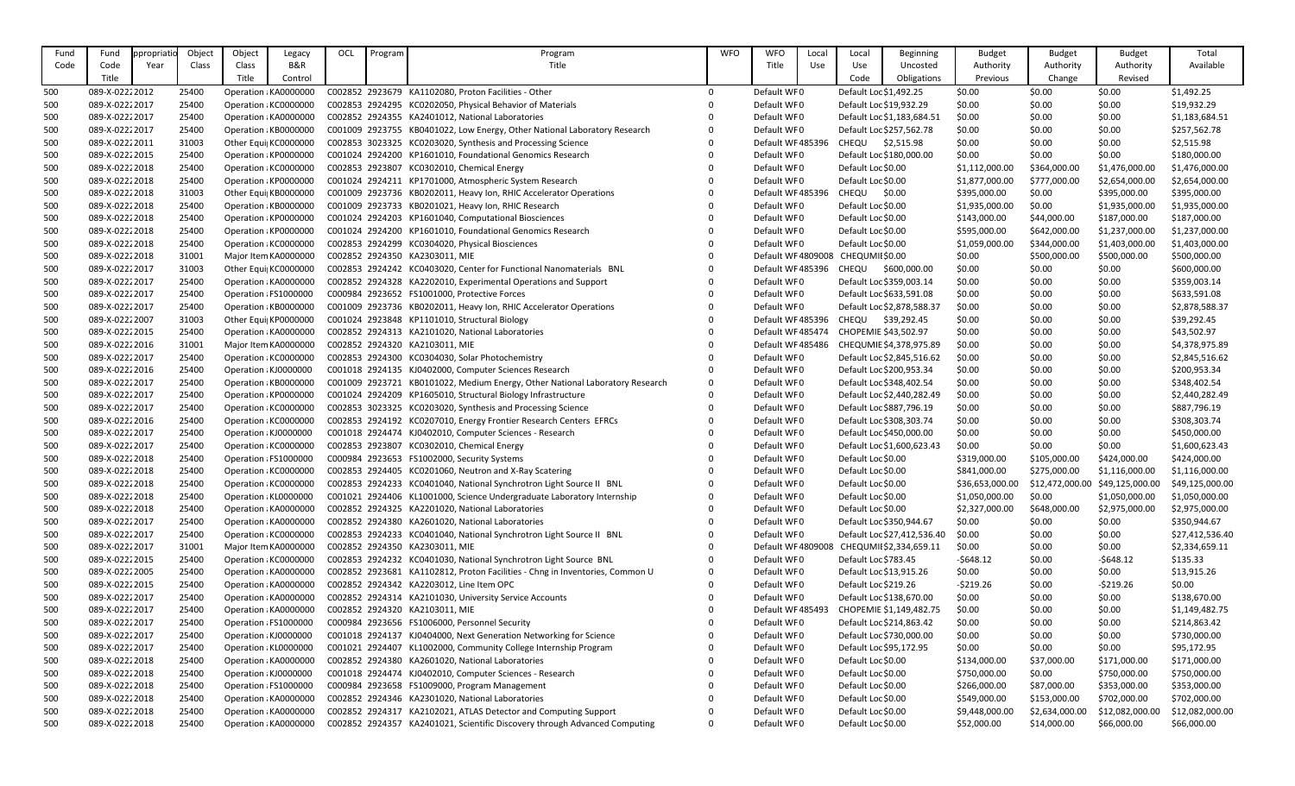| Fund       | Fund                             | ppropriat | Object         | Object | Legacy                                         | OCL | Program | Program                                                                                                                              | <b>WFO</b>   | <b>WFO</b>                 | Local | Local                   | <b>Beginning</b>            | <b>Budget</b>    | <b>Budget</b>    | <b>Budget</b>    | Total                       |
|------------|----------------------------------|-----------|----------------|--------|------------------------------------------------|-----|---------|--------------------------------------------------------------------------------------------------------------------------------------|--------------|----------------------------|-------|-------------------------|-----------------------------|------------------|------------------|------------------|-----------------------------|
| Code       | Code                             | Year      | Class          | Class  | <b>B&amp;R</b>                                 |     |         | Title                                                                                                                                |              | Title                      | Use   | Use                     | Uncosted                    | Authority        | Authority        | Authority        | Available                   |
|            | Title                            |           |                | Title  | Control                                        |     |         |                                                                                                                                      |              |                            |       | Code                    | Obligations                 | Previous         | Change           | Revised          |                             |
| 500        | 089-X-02222012                   |           | 25400          |        | Operation : KA0000000                          |     |         | C002852 2923679 KA1102080, Proton Facilities - Other                                                                                 | $\mathbf{0}$ | Default WF0                |       | Default Loc \$1,492.25  |                             | \$0.00           | \$0.00           | \$0.00           | \$1,492.25                  |
| 500        | 089-X-02222017                   |           | 25400          |        | Operation : KC0000000                          |     |         | C002853 2924295 KC0202050, Physical Behavior of Materials                                                                            | $\Omega$     | Default WF0                |       | Default Loc \$19,932.29 |                             | \$0.00           | \$0.00           | \$0.00           | \$19,932.29                 |
| 500        | 089-X-02222017                   |           | 25400          |        | Operation : KA0000000                          |     |         | C002852 2924355 KA2401012, National Laboratories                                                                                     |              | Default WF0                |       |                         | Default Loc \$1,183,684.51  | \$0.00           | \$0.00           | \$0.00           | \$1,183,684.51              |
| 500        | 089-X-02222017                   |           | 25400          |        | Operation : KB0000000                          |     |         | C001009 2923755 KB0401022, Low Energy, Other National Laboratory Research                                                            |              | Default WF0                |       |                         | Default Loc \$257,562.78    | \$0.00           | \$0.00           | \$0.00           | \$257,562.78                |
| 500        | 089-X-02222011                   |           | 31003          |        | Other Equi  KC0000000                          |     |         | C002853 3023325 KC0203020, Synthesis and Processing Science                                                                          |              | Default WF485396           |       | <b>CHEQU</b>            | \$2,515.98                  | \$0.00           | \$0.00           | \$0.00           | \$2,515.98                  |
| 500        | 089-X-02222015                   |           | 25400          |        | Operation : KP0000000                          |     |         | C001024 2924200 KP1601010, Foundational Genomics Research                                                                            |              | Default WF0                |       |                         | Default Loc \$180,000.00    | \$0.00           | \$0.00           | \$0.00           | \$180,000.00                |
| 500        | 089-X-02222018                   |           | 25400          |        | Operation : KC0000000                          |     |         | C002853 2923807 KC0302010, Chemical Energy                                                                                           |              | Default WF0                |       | Default Loc \$0.00      |                             | \$1,112,000.00   | \$364,000.00     | \$1,476,000.00   | \$1,476,000.00              |
| 500        | 089-X-02222018                   |           | 25400          |        | Operation : KP0000000                          |     |         | C001024 2924211 KP1701000, Atmospheric System Research                                                                               |              | Default WF0                |       | Default Loc \$0.00      |                             | \$1,877,000.00   | \$777,000.00     | \$2,654,000.00   | \$2,654,000.00              |
| 500        | 089-X-02222018                   |           | 31003          |        | Other Equi KB0000000                           |     |         | C001009 2923736 KB0202011, Heavy Ion, RHIC Accelerator Operations                                                                    |              | Default WF485396           |       | CHEQU                   | \$0.00                      | \$395,000.00     | \$0.00           | \$395,000.00     | \$395,000.00                |
| 500        | 089-X-02222018                   |           | 25400          |        | Operation : KB0000000                          |     |         | C001009 2923733 KB0201021, Heavy Ion, RHIC Research                                                                                  |              | Default WF0                |       | Default Loc \$0.00      |                             | \$1,935,000.00   | \$0.00           | \$1,935,000.00   | \$1,935,000.00              |
| 500        | 089-X-02222018                   |           | 25400          |        | Operation : KP0000000                          |     |         | C001024 2924203 KP1601040, Computational Biosciences                                                                                 |              | Default WF0                |       | Default Loc \$0.00      |                             | \$143,000.00     | \$44,000.00      | \$187,000.00     | \$187,000.00                |
| 500        | 089-X-02222018                   |           | 25400          |        | Operation : KP0000000                          |     |         | C001024 2924200 KP1601010, Foundational Genomics Research                                                                            |              | Default WF0                |       | Default Loc \$0.00      |                             | \$595,000.00     | \$642,000.00     | \$1,237,000.00   | \$1,237,000.00              |
| 500        | 089-X-02222018                   |           | 25400          |        | Operation : KC0000000                          |     |         | C002853 2924299 KC0304020, Physical Biosciences                                                                                      |              | Default WF0                |       | Default Loc \$0.00      |                             | \$1,059,000.00   | \$344,000.00     | \$1,403,000.00   | \$1,403,000.00              |
| 500        | 089-X-02222018                   |           | 31001          |        | Major Item KA0000000                           |     |         | C002852 2924350 KA2303011, MIE                                                                                                       |              | Default WF 4809008         |       | CHEQUMII \$0.00         |                             | \$0.00           | \$500,000.00     | \$500,000.00     | \$500,000.00                |
| 500        | 089-X-02222017                   |           | 31003          |        | Other Equi  KC0000000                          |     |         | C002853 2924242 KC0403020, Center for Functional Nanomaterials BNL                                                                   |              | Default WF485396           |       | CHEQU                   | \$600,000.00                | \$0.00           | \$0.00           | \$0.00           | \$600,000.00                |
| 500        | 089-X-02222017                   |           | 25400          |        | Operation : KA0000000                          |     |         | C002852 2924328 KA2202010, Experimental Operations and Support                                                                       |              | Default WF0                |       |                         | Default Loc \$359,003.14    | \$0.00           | \$0.00           | \$0.00           | \$359,003.14                |
| 500        | 089-X-02222017                   |           | 25400          |        | Operation : FS1000000                          |     |         | C000984 2923652 FS1001000, Protective Forces                                                                                         |              | Default WF0                |       |                         | Default Loc \$633,591.08    | \$0.00           | \$0.00           | \$0.00           | \$633,591.08                |
| 500        | 089-X-02222017                   |           | 25400          |        | Operation : KB0000000                          |     |         | C001009 2923736 KB0202011, Heavy Ion, RHIC Accelerator Operations                                                                    |              | Default WF0                |       |                         | Default Loc \$2,878,588.37  | \$0.00           | \$0.00           | \$0.00           | \$2,878,588.37              |
| 500        | 089-X-02222007                   |           | 31003          |        | Other Equi  KP0000000                          |     |         | C001024 2923848 KP1101010, Structural Biology                                                                                        |              | Default WF485396           |       | CHEQU                   | \$39,292.45                 | \$0.00           | \$0.00           | \$0.00           | \$39,292.45                 |
| 500        | 089-X-02222015                   |           | 25400          |        | Operation : KA0000000                          |     |         | C002852 2924313 KA2101020, National Laboratories                                                                                     |              | Default WF 485474          |       | CHOPEMIE \$43,502.97    |                             | \$0.00           | \$0.00           | \$0.00           | \$43,502.97                 |
| 500        | 089-X-02222016                   |           | 31001          |        | Major Item KA0000000                           |     |         | C002852 2924320 KA2103011, MIE                                                                                                       |              | Default WF485486           |       |                         | CHEQUMIE \$4,378,975.89     | \$0.00           | \$0.00           | \$0.00           | \$4,378,975.89              |
| 500        | 089-X-02222017                   |           | 25400          |        | Operation : KC0000000                          |     |         | C002853 2924300 KC0304030, Solar Photochemistry                                                                                      |              | Default WF0                |       |                         | Default Loc \$2,845,516.62  | \$0.00           | \$0.00           | \$0.00           | \$2,845,516.62              |
| 500        | 089-X-02222016                   |           | 25400          |        | Operation : KJ0000000                          |     |         | C001018 2924135 KJ0402000, Computer Sciences Research                                                                                |              | Default WF0                |       |                         | Default Loc \$200,953.34    | \$0.00           | \$0.00           | \$0.00           | \$200,953.34                |
| 500        | 089-X-02222017                   |           | 25400          |        | Operation : KB0000000                          |     |         | C001009 2923721 KB0101022, Medium Energy, Other National Laboratory Research                                                         | $\mathbf 0$  | Default WF0                |       |                         | Default Loc \$348,402.54    | \$0.00           | \$0.00           | \$0.00           | \$348,402.54                |
| 500        | 089-X-02222017                   |           | 25400          |        | Operation : KP0000000                          |     |         | C001024 2924209 KP1605010, Structural Biology Infrastructure                                                                         |              | Default WF0                |       |                         | Default Loc \$2,440,282.49  | \$0.00           | \$0.00           | \$0.00           | \$2,440,282.49              |
| 500        | 089-X-02222017                   |           | 25400          |        | Operation : KC0000000                          |     |         | C002853 3023325 KC0203020, Synthesis and Processing Science                                                                          |              | Default WF0                |       |                         | Default Loc \$887,796.19    | \$0.00           | \$0.00           | \$0.00           | \$887,796.19                |
| 500        | 089-X-02222016                   |           | 25400          |        | Operation : KC0000000                          |     |         | C002853 2924192 KC0207010, Energy Frontier Research Centers EFRCs                                                                    |              | Default WF0                |       |                         | Default Loc \$308,303.74    | \$0.00           | \$0.00           | \$0.00           | \$308,303.74                |
| 500        | 089-X-02222017                   |           | 25400          |        | Operation : KJ0000000                          |     |         | C001018 2924474 KJ0402010, Computer Sciences - Research                                                                              |              | Default WF0                |       |                         | Default Loc \$450,000.00    | \$0.00           | \$0.00           | \$0.00           | \$450,000.00                |
| 500        | 089-X-02222017                   |           | 25400          |        | Operation : KC0000000                          |     |         | C002853 2923807 KC0302010, Chemical Energy                                                                                           |              | Default WF0                |       |                         | Default Loc \$1,600,623.43  | \$0.00           | \$0.00           | \$0.00           | \$1,600,623.43              |
| 500        | 089-X-02222018                   |           | 25400          |        | Operation : FS1000000                          |     |         | C000984 2923653 FS1002000, Security Systems                                                                                          |              | Default WF0                |       | Default Loc \$0.00      |                             | \$319,000.00     | \$105,000.00     | \$424,000.00     | \$424,000.00                |
| 500        | 089-X-02222018                   |           | 25400          |        | Operation : KC0000000                          |     |         | C002853 2924405 KC0201060, Neutron and X-Ray Scatering                                                                               |              | Default WF0                |       | Default Loc \$0.00      |                             | \$841,000.00     | \$275,000.00     | \$1,116,000.00   | \$1,116,000.00              |
| 500        | 089-X-02222018                   |           | 25400          |        | Operation : KC0000000                          |     |         | C002853 2924233 KC0401040, National Synchrotron Light Source II BNL                                                                  |              | Default WF0                |       | Default Loc \$0.00      |                             | \$36,653,000.00  | \$12,472,000.00  | \$49,125,000.00  | \$49,125,000.00             |
| 500        | 089-X-02222018                   |           | 25400          |        | Operation : KL0000000                          |     |         | C001021 2924406 KL1001000, Science Undergraduate Laboratory Internship                                                               |              | Default WF0                |       | Default Loc \$0.00      |                             | \$1,050,000.00   | \$0.00           | \$1,050,000.00   | \$1,050,000.00              |
| 500        | 089-X-02222018                   |           | 25400          |        | Operation : KA0000000                          |     |         | C002852 2924325 KA2201020, National Laboratories                                                                                     |              | Default WF0                |       | Default Loc \$0.00      |                             | \$2,327,000.00   | \$648,000.00     | \$2,975,000.00   | \$2,975,000.00              |
| 500        | 089-X-02222017                   |           | 25400          |        | Operation : KA0000000                          |     |         | C002852 2924380 KA2601020, National Laboratories                                                                                     |              | Default WF0                |       |                         | Default Loc \$350,944.67    | \$0.00           | \$0.00           | \$0.00           | \$350,944.67                |
| 500        | 089-X-02222017                   |           | 25400          |        | Operation : KC0000000                          |     |         | C002853 2924233 KC0401040, National Synchrotron Light Source II BNL                                                                  |              | Default WF0                |       |                         | Default Loc \$27,412,536.40 | \$0.00           | \$0.00           | \$0.00           | \$27,412,536.40             |
| 500        | 089-X-02222017                   |           | 31001          |        | Major Item KA0000000                           |     |         | C002852 2924350 KA2303011, MIE                                                                                                       |              | Default WF 4809008         |       |                         | CHEQUMII \$2,334,659.11     | \$0.00           | \$0.00           | \$0.00           | \$2,334,659.11              |
| 500        | 089-X-02222015                   |           | 25400          |        | Operation : KC0000000                          |     |         | C002853 2924232 KC0401030, National Synchrotron Light Source BNL                                                                     |              | Default WF0                |       | Default Loc \$783.45    |                             | $-5648.12$       | \$0.00           | $-5648.12$       | \$135.33                    |
| 500        | 089-X-02222005                   |           | 25400          |        | Operation : KA0000000                          |     |         | C002852 2923681 KA1102812, Proton Facilities - Chng in Inventories, Common U                                                         |              | Default WF0                |       | Default Loc \$13,915.26 |                             | \$0.00           | \$0.00           | \$0.00           | \$13,915.26                 |
| 500        | 089-X-02222015                   |           | 25400          |        | Operation : KA0000000                          |     |         | C002852 2924342 KA2203012, Line Item OPC                                                                                             |              | Default WF0<br>Default WF0 |       | Default Loc \$219.26    |                             | $-5219.26$       | \$0.00           | $-5219.26$       | \$0.00                      |
| 500        | 089-X-02222017                   |           | 25400          |        | Operation : KA0000000                          |     |         | C002852 2924314 KA2101030, University Service Accounts                                                                               |              |                            |       |                         | Default Loc \$138,670.00    | \$0.00           | \$0.00           | \$0.00           | \$138,670.00                |
| 500        | 089-X-02222017                   |           | 25400          |        | Operation : KA0000000                          |     |         | C002852 2924320 KA2103011, MIE                                                                                                       |              | Default WF 485493          |       |                         | CHOPEMIE \$1,149,482.75     | \$0.00           | \$0.00           | \$0.00           | \$1,149,482.75              |
| 500        | 089-X-02222017                   |           | 25400          |        | Operation : FS1000000                          |     |         | C000984 2923656 FS1006000, Personnel Security                                                                                        |              | Default WF0                |       |                         | Default Loc \$214,863.42    | \$0.00           | \$0.00           | \$0.00           | \$214,863.42                |
| 500<br>500 | 089-X-02222017<br>089-X-02222017 |           | 25400<br>25400 |        | Operation : KJ0000000<br>Operation : KL0000000 |     |         | C001018 2924137 KJ0404000, Next Generation Networking for Science<br>C001021 2924407 KL1002000, Community College Internship Program |              | Default WF0<br>Default WF0 |       | Default Loc \$95,172.95 | Default Loc \$730,000.00    | \$0.00<br>\$0.00 | \$0.00<br>\$0.00 | \$0.00<br>\$0.00 | \$730,000.00<br>\$95,172.95 |
| 500        | 089-X-02222018                   |           | 25400          |        | Operation : KA0000000                          |     |         | C002852 2924380 KA2601020, National Laboratories                                                                                     |              | Default WF0                |       | Default Loc \$0.00      |                             | \$134,000.00     | \$37,000.00      | \$171,000.00     | \$171,000.00                |
| 500        | 089-X-02222018                   |           | 25400          |        | Operation : KJ0000000                          |     |         | C001018 2924474 KJ0402010, Computer Sciences - Research                                                                              |              | Default WF0                |       | Default Loc \$0.00      |                             | \$750,000.00     | \$0.00           | \$750,000.00     | \$750,000.00                |
| 500        | 089-X-02222018                   |           | 25400          |        | Operation : FS1000000                          |     |         | C000984 2923658 FS1009000, Program Management                                                                                        |              | Default WF0                |       | Default Loc \$0.00      |                             | \$266,000.00     | \$87,000.00      | \$353,000.00     | \$353,000.00                |
| 500        | 089-X-02222018                   |           | 25400          |        | Operation : KA0000000                          |     |         | C002852 2924346 KA2301020, National Laboratories                                                                                     |              | Default WF0                |       | Default Loc \$0.00      |                             | \$549,000.00     | \$153,000.00     | \$702,000.00     | \$702,000.00                |
| 500        | 089-X-02222018                   |           | 25400          |        | Operation : KA0000000                          |     |         | C002852 2924317 KA2102021, ATLAS Detector and Computing Support                                                                      |              | Default WF0                |       | Default Loc \$0.00      |                             | \$9,448,000.00   | \$2,634,000.00   | \$12,082,000.00  | \$12,082,000.00             |
| 500        | 089-X-02222018                   |           | 25400          |        | Operation : KA0000000                          |     |         | C002852 2924357 KA2401021, Scientific Discovery through Advanced Computing                                                           |              | Default WF0                |       | Default Loc \$0.00      |                             | \$52,000.00      | \$14,000.00      | \$66,000.00      | \$66,000.00                 |
|            |                                  |           |                |        |                                                |     |         |                                                                                                                                      |              |                            |       |                         |                             |                  |                  |                  |                             |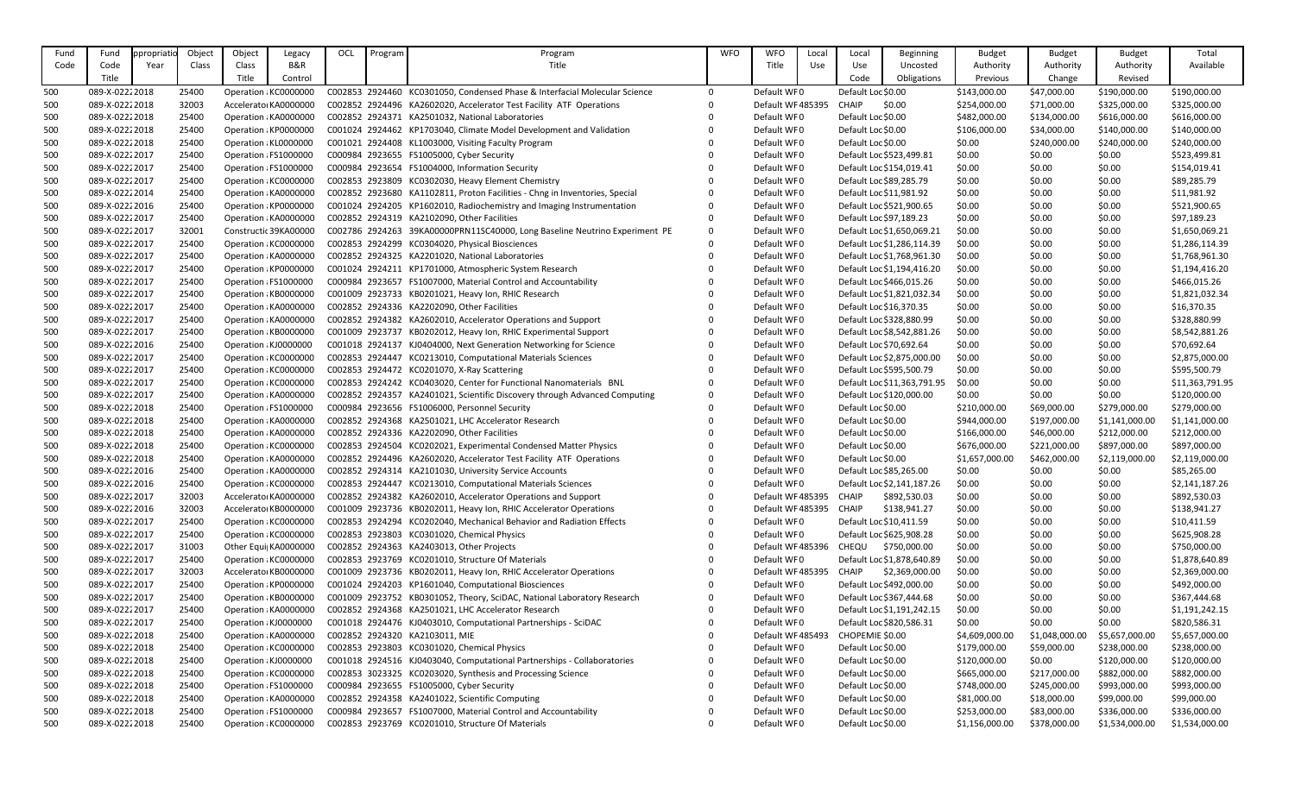| Fund | Fund           | ppropriatio | Object | Object | Legacy                | OCL | Program | Program                                                                     | <b>WFO</b>              | <b>WFO</b>       | Local | Local                   | <b>Beginning</b>            | <b>Budget</b>  | <b>Budget</b>  | <b>Budget</b>  | Total           |
|------|----------------|-------------|--------|--------|-----------------------|-----|---------|-----------------------------------------------------------------------------|-------------------------|------------------|-------|-------------------------|-----------------------------|----------------|----------------|----------------|-----------------|
| Code | Code           | Year        | Class  | Class  | <b>B&amp;R</b>        |     |         | Title                                                                       |                         | Title            | Use   | Use                     | Uncosted                    | Authority      | Authority      | Authority      | Available       |
|      | Title          |             |        | Title  | Control               |     |         |                                                                             |                         |                  |       | Code                    | Obligations                 | Previous       | Change         | Revised        |                 |
| 500  | 089-X-02222018 |             | 25400  |        | Operation : KC0000000 |     |         | C002853 2924460 KC0301050, Condensed Phase & Interfacial Molecular Science  | 0                       | Default WF0      |       | Default Loc \$0.00      |                             | \$143,000.00   | \$47,000.00    | \$190,000.00   | \$190,000.00    |
| 500  | 089-X-02222018 |             | 32003  |        | Accelerator KA0000000 |     |         | C002852 2924496 KA2602020, Accelerator Test Facility ATF Operations         | 0                       | Default WF485395 |       | <b>CHAIP</b>            | \$0.00                      | \$254,000.00   | \$71,000.00    | \$325,000.00   | \$325,000.00    |
| 500  | 089-X-02222018 |             | 25400  |        | Operation : KA0000000 |     |         | C002852 2924371 KA2501032, National Laboratories                            | $\mathbf{0}$            | Default WF0      |       | Default Loc \$0.00      |                             | \$482,000.00   | \$134,000.00   | \$616,000.00   | \$616,000.00    |
| 500  | 089-X-02222018 |             | 25400  |        | Operation : KP0000000 |     |         | C001024 2924462 KP1703040, Climate Model Development and Validation         |                         | Default WF0      |       | Default Loc \$0.00      |                             | \$106,000.00   | \$34,000.00    | \$140,000.00   | \$140,000.00    |
|      | 089-X-02222018 |             | 25400  |        | Operation : KL0000000 |     |         | C001021 2924408 KL1003000, Visiting Faculty Program                         | $\mathbf{0}$            | Default WF0      |       | Default Loc \$0.00      |                             | \$0.00         |                | \$240,000.00   | \$240,000.00    |
| 500  | 089-X-02222017 |             |        |        |                       |     |         | C000984 2923655 FS1005000, Cyber Security                                   |                         | Default WF0      |       |                         |                             | \$0.00         | \$240,000.00   |                |                 |
| 500  |                |             | 25400  |        | Operation : FS1000000 |     |         |                                                                             | $\mathbf 0$<br>$\Omega$ |                  |       |                         | Default Loc \$523,499.81    |                | \$0.00         | \$0.00         | \$523,499.81    |
| 500  | 089-X-02222017 |             | 25400  |        | Operation : FS1000000 |     |         | C000984 2923654 FS1004000, Information Security                             |                         | Default WF0      |       |                         | Default Loc \$154,019.41    | \$0.00         | \$0.00         | \$0.00         | \$154,019.41    |
| 500  | 089-X-02222017 |             | 25400  |        | Operation : KC0000000 |     |         | C002853 2923809 KC0302030, Heavy Element Chemistry                          |                         | Default WF0      |       |                         | Default Loc \$89,285.79     | \$0.00         | \$0.00         | \$0.00         | \$89,285.79     |
| 500  | 089-X-02222014 |             | 25400  |        | Operation : KA0000000 |     |         | C002852 2923680 KA1102811, Proton Facilities - Chng in Inventories, Special |                         | Default WF0      |       |                         | Default Loc \$11,981.92     | \$0.00         | \$0.00         | \$0.00         | \$11,981.92     |
| 500  | 089-X-02222016 |             | 25400  |        | Operation : KP0000000 |     |         | C001024 2924205 KP1602010, Radiochemistry and Imaging Instrumentation       | $\mathbf{0}$            | Default WF0      |       |                         | Default Loc \$521,900.65    | \$0.00         | \$0.00         | \$0.00         | \$521,900.65    |
| 500  | 089-X-02222017 |             | 25400  |        | Operation : KA0000000 |     |         | C002852 2924319 KA2102090, Other Facilities                                 | $\mathbf 0$             | Default WF0      |       |                         | Default Loc \$97,189.23     | \$0.00         | \$0.00         | \$0.00         | \$97,189.23     |
| 500  | 089-X-02222017 |             | 32001  |        | Constructic 39KA00000 |     |         | C002786 2924263 39KA00000PRN11SC40000, Long Baseline Neutrino Experiment PE | 0                       | Default WF0      |       |                         | Default Loc \$1,650,069.21  | \$0.00         | \$0.00         | \$0.00         | \$1,650,069.21  |
| 500  | 089-X-02222017 |             | 25400  |        | Operation : KC0000000 |     |         | C002853 2924299 KC0304020, Physical Biosciences                             | $\mathbf{0}$            | Default WF0      |       |                         | Default Loc \$1,286,114.39  | \$0.00         | \$0.00         | \$0.00         | \$1,286,114.39  |
| 500  | 089-X-02222017 |             | 25400  |        | Operation : KA0000000 |     |         | C002852 2924325 KA2201020, National Laboratories                            |                         | Default WF0      |       |                         | Default Loc \$1,768,961.30  | \$0.00         | \$0.00         | \$0.00         | \$1,768,961.30  |
| 500  | 089-X-02222017 |             | 25400  |        | Operation : KP0000000 |     |         | C001024 2924211 KP1701000, Atmospheric System Research                      | $\Omega$                | Default WF0      |       |                         | Default Loc \$1,194,416.20  | \$0.00         | \$0.00         | \$0.00         | \$1,194,416.20  |
| 500  | 089-X-02222017 |             | 25400  |        | Operation : FS1000000 |     |         | C000984 2923657 FS1007000, Material Control and Accountability              |                         | Default WF0      |       |                         | Default Loc \$466,015.26    | \$0.00         | \$0.00         | \$0.00         | \$466,015.26    |
| 500  | 089-X-02222017 |             | 25400  |        | Operation : KB0000000 |     |         | C001009 2923733 KB0201021, Heavy Ion, RHIC Research                         |                         | Default WF0      |       |                         | Default Loc \$1,821,032.34  | \$0.00         | \$0.00         | \$0.00         | \$1,821,032.34  |
| 500  | 089-X-02222017 |             | 25400  |        | Operation : KA0000000 |     |         | C002852 2924336 KA2202090, Other Facilities                                 | $\Omega$                | Default WF0      |       |                         | Default Loc \$16,370.35     | \$0.00         | \$0.00         | \$0.00         | \$16,370.35     |
| 500  | 089-X-02222017 |             | 25400  |        | Operation : KA0000000 |     |         | C002852 2924382 KA2602010, Accelerator Operations and Support               |                         | Default WF0      |       |                         | Default Loc \$328,880.99    | \$0.00         | \$0.00         | \$0.00         | \$328,880.99    |
| 500  | 089-X-02222017 |             | 25400  |        | Operation : KB0000000 |     |         | C001009 2923737 KB0202012, Heavy Ion, RHIC Experimental Support             |                         | Default WF0      |       |                         | Default Loc \$8,542,881.26  | \$0.00         | \$0.00         | \$0.00         | \$8,542,881.26  |
| 500  | 089-X-02222016 |             | 25400  |        | Operation : KJ0000000 |     |         | C001018 2924137 KJ0404000, Next Generation Networking for Science           |                         | Default WF0      |       | Default Loc \$70,692.64 |                             | \$0.00         | \$0.00         | \$0.00         | \$70,692.64     |
| 500  | 089-X-02222017 |             | 25400  |        | Operation : KC0000000 |     |         | C002853 2924447 KC0213010, Computational Materials Sciences                 | 0                       | Default WF0      |       |                         | Default Loc \$2,875,000.00  | \$0.00         | \$0.00         | \$0.00         | \$2,875,000.00  |
| 500  | 089-X-02222017 |             | 25400  |        | Operation : KC0000000 |     |         | C002853 2924472 KC0201070, X-Ray Scattering                                 | $\mathbf{0}$            | Default WF0      |       |                         | Default Loc \$595,500.79    | \$0.00         | \$0.00         | \$0.00         | \$595,500.79    |
| 500  | 089-X-02222017 |             | 25400  |        | Operation : KC0000000 |     |         | C002853 2924242 KC0403020, Center for Functional Nanomaterials BNL          | $\mathbf{0}$            | Default WF0      |       |                         | Default Loc \$11,363,791.95 | \$0.00         | \$0.00         | \$0.00         | \$11,363,791.95 |
| 500  | 089-X-02222017 |             | 25400  |        | Operation : KA0000000 |     |         | C002852 2924357 KA2401021, Scientific Discovery through Advanced Computing  | 0                       | Default WF0      |       |                         | Default Loc \$120,000.00    | \$0.00         | \$0.00         | \$0.00         | \$120,000.00    |
| 500  | 089-X-02222018 |             | 25400  |        | Operation : FS1000000 |     |         | C000984 2923656 FS1006000, Personnel Security                               | $\Omega$                | Default WF0      |       | Default Loc \$0.00      |                             | \$210,000.00   | \$69,000.00    | \$279,000.00   | \$279,000.00    |
| 500  | 089-X-02222018 |             | 25400  |        | Operation : KA0000000 |     |         | C002852 2924368 KA2501021, LHC Accelerator Research                         |                         | Default WF0      |       | Default Loc \$0.00      |                             | \$944,000.00   | \$197,000.00   | \$1,141,000.00 | \$1,141,000.00  |
| 500  | 089-X-02222018 |             | 25400  |        | Operation : KA0000000 |     |         | C002852 2924336 KA2202090, Other Facilities                                 | $\Omega$                | Default WF0      |       | Default Loc \$0.00      |                             | \$166,000.00   | \$46,000.00    | \$212,000.00   | \$212,000.00    |
| 500  | 089-X-02222018 |             | 25400  |        | Operation : KC0000000 |     |         | C002853 2924504 KC0202021, Experimental Condensed Matter Physics            | 0                       | Default WF0      |       | Default Loc \$0.00      |                             | \$676,000.00   | \$221,000.00   | \$897,000.00   | \$897,000.00    |
| 500  | 089-X-02222018 |             | 25400  |        | Operation : KA0000000 |     |         | C002852 2924496 KA2602020, Accelerator Test Facility ATF Operations         |                         | Default WF0      |       | Default Loc \$0.00      |                             | \$1,657,000.00 | \$462,000.00   | \$2,119,000.00 | \$2,119,000.00  |
| 500  | 089-X-02222016 |             | 25400  |        | Operation : KA0000000 |     |         | C002852 2924314 KA2101030, University Service Accounts                      | $\Omega$                | Default WF0      |       |                         | Default Loc \$85,265.00     | \$0.00         | \$0.00         | \$0.00         | \$85,265.00     |
| 500  | 089-X-02222016 |             | 25400  |        | Operation : KC0000000 |     |         | C002853 2924447 KC0213010, Computational Materials Sciences                 |                         | Default WF0      |       |                         | Default Loc \$2,141,187.26  | \$0.00         | \$0.00         | \$0.00         | \$2,141,187.26  |
| 500  | 089-X-02222017 |             | 32003  |        | Accelerator KA0000000 |     |         | C002852 2924382 KA2602010, Accelerator Operations and Support               |                         | Default WF485395 |       | CHAIP                   | \$892,530.03                | \$0.00         | \$0.00         | \$0.00         | \$892,530.03    |
| 500  | 089-X-02222016 |             | 32003  |        | Accelerator KB0000000 |     |         | C001009 2923736 KB0202011, Heavy Ion, RHIC Accelerator Operations           |                         | Default WF485395 |       | <b>CHAIP</b>            | \$138,941.27                | \$0.00         | \$0.00         | \$0.00         | \$138,941.27    |
| 500  | 089-X-02222017 |             | 25400  |        | Operation : KC0000000 |     |         | C002853 2924294 KC0202040, Mechanical Behavior and Radiation Effects        |                         | Default WF0      |       |                         | Default Loc \$10,411.59     | \$0.00         | \$0.00         | \$0.00         | \$10,411.59     |
| 500  | 089-X-02222017 |             | 25400  |        | Operation : KC0000000 |     |         | C002853 2923803 KC0301020, Chemical Physics                                 | $\Omega$                | Default WF0      |       |                         | Default Loc \$625,908.28    | \$0.00         | \$0.00         | \$0.00         | \$625,908.28    |
| 500  | 089-X-02222017 |             | 31003  |        | Other Equi  KA0000000 |     |         | C002852 2924363 KA2403013, Other Projects                                   |                         | Default WF485396 |       | CHEQU                   | \$750,000.00                | \$0.00         | \$0.00         | \$0.00         | \$750,000.00    |
| 500  | 089-X-02222017 |             | 25400  |        | Operation : KC0000000 |     |         | C002853 2923769 KC0201010, Structure Of Materials                           |                         | Default WF0      |       |                         | Default Loc \$1,878,640.89  | \$0.00         | \$0.00         | \$0.00         | \$1,878,640.89  |
| 500  | 089-X-02222017 |             | 32003  |        | Accelerator KB0000000 |     |         | C001009 2923736 KB0202011, Heavy Ion, RHIC Accelerator Operations           |                         | Default WF485395 |       | <b>CHAIP</b>            | \$2,369,000.00              | \$0.00         | \$0.00         | \$0.00         | \$2,369,000.00  |
| 500  | 089-X-02222017 |             | 25400  |        | Operation : KP0000000 |     |         | C001024 2924203 KP1601040, Computational Biosciences                        |                         | Default WF0      |       |                         | Default Loc \$492,000.00    | \$0.00         | \$0.00         | \$0.00         | \$492,000.00    |
| 500  | 089-X-02222017 |             | 25400  |        | Operation : KB0000000 |     |         | C001009 2923752 KB0301052, Theory, SciDAC, National Laboratory Research     | 0                       | Default WF0      |       |                         | Default Loc \$367,444.68    | \$0.00         | \$0.00         | \$0.00         | \$367,444.68    |
| 500  | 089-X-02222017 |             | 25400  |        | Operation : KA0000000 |     |         | C002852 2924368 KA2501021, LHC Accelerator Research                         | $\mathbf{0}$            | Default WF0      |       |                         | Default Loc \$1,191,242.15  | \$0.00         | \$0.00         | \$0.00         | \$1,191,242.15  |
| 500  | 089-X-02222017 |             | 25400  |        | Operation : KJ0000000 |     |         | C001018 2924476 KJ0403010, Computational Partnerships - SciDAC              |                         | Default WF0      |       |                         | Default Loc \$820,586.31    | \$0.00         | \$0.00         | \$0.00         | \$820,586.31    |
| 500  | 089-X-02222018 |             | 25400  |        | Operation : KA0000000 |     |         | C002852 2924320 KA2103011, MIE                                              | $\Omega$                | Default WF485493 |       | CHOPEMIE \$0.00         |                             | \$4,609,000.00 | \$1,048,000.00 | \$5,657,000.00 | \$5,657,000.00  |
| 500  | 089-X-02222018 |             | 25400  |        | Operation : KC0000000 |     |         | C002853 2923803 KC0301020, Chemical Physics                                 |                         | Default WF0      |       | Default Loc \$0.00      |                             | \$179,000.00   | \$59,000.00    | \$238,000.00   | \$238,000.00    |
| 500  | 089-X-02222018 |             | 25400  |        | Operation : KJ0000000 |     |         | C001018 2924516 KJ0403040, Computational Partnerships - Collaboratories     | 0                       | Default WF0      |       | Default Loc \$0.00      |                             | \$120,000.00   | \$0.00         | \$120,000.00   | \$120,000.00    |
|      | 089-X-02222018 |             | 25400  |        | Operation : KC0000000 |     |         | C002853 3023325 KC0203020, Synthesis and Processing Science                 | $\mathbf{0}$            | Default WF0      |       | Default Loc \$0.00      |                             |                |                |                | \$882,000.00    |
| 500  |                |             |        |        |                       |     |         |                                                                             |                         |                  |       |                         |                             | \$665,000.00   | \$217,000.00   | \$882,000.00   |                 |
| 500  | 089-X-02222018 |             | 25400  |        | Operation : FS1000000 |     |         | C000984 2923655 FS1005000, Cyber Security                                   |                         | Default WF0      |       | Default Loc \$0.00      |                             | \$748,000.00   | \$245,000.00   | \$993,000.00   | \$993,000.00    |
| 500  | 089-X-02222018 |             | 25400  |        | Operation : KA0000000 |     |         | C002852 2924358 KA2401022, Scientific Computing                             |                         | Default WF0      |       | Default Loc \$0.00      |                             | \$81,000.00    | \$18,000.00    | \$99,000.00    | \$99,000.00     |
| 500  | 089-X-02222018 |             | 25400  |        | Operation : FS1000000 |     |         | C000984 2923657 FS1007000, Material Control and Accountability              |                         | Default WF0      |       | Default Loc \$0.00      |                             | \$253,000.00   | \$83,000.00    | \$336,000.00   | \$336,000.00    |
| 500  | 089-X-02222018 |             | 25400  |        | Operation: KC0000000  |     |         | C002853 2923769 KC0201010, Structure Of Materials                           | 0                       | Default WF0      |       | Default Loc \$0.00      |                             | \$1,156,000.00 | \$378,000.00   | \$1,534,000.00 | \$1,534,000.00  |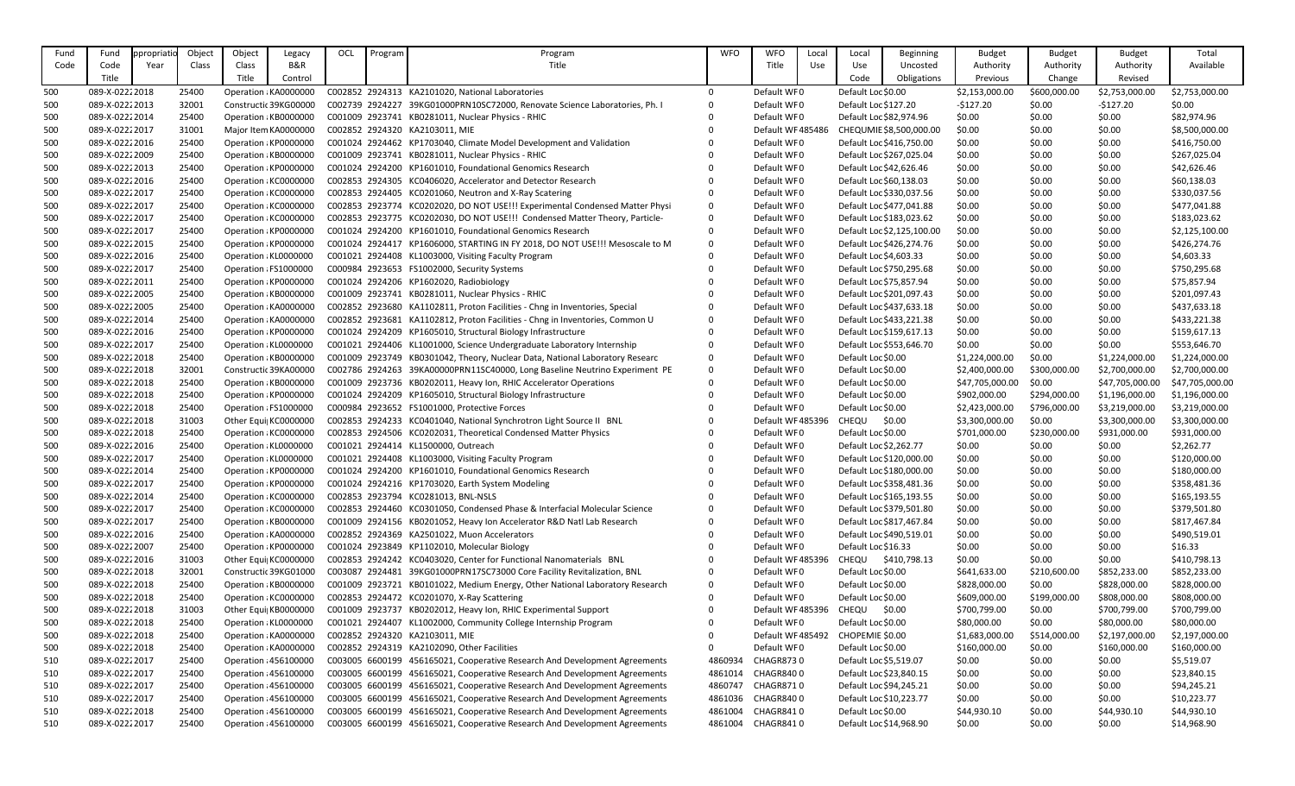| Fund       | Fund                             | ppropriati | Object         | Object | Legacy                                         | OCL | Program | Program                                                                                                                                                  | <b>WFO</b>         | <b>WFO</b>             | Local | Local                                             | <b>Beginning</b>           | <b>Budget</b>    | <b>Budget</b>    | <b>Budget</b>    | Total                     |
|------------|----------------------------------|------------|----------------|--------|------------------------------------------------|-----|---------|----------------------------------------------------------------------------------------------------------------------------------------------------------|--------------------|------------------------|-------|---------------------------------------------------|----------------------------|------------------|------------------|------------------|---------------------------|
| Code       | Code                             | Year       | Class          | Class  | <b>B&amp;R</b>                                 |     |         | Title                                                                                                                                                    |                    | Title                  | Use   | Use                                               | Uncosted                   | Authority        | Authority        | Authority        | Available                 |
|            | Title                            |            |                | Title  | Control                                        |     |         |                                                                                                                                                          |                    |                        |       | Code                                              | Obligations                | Previous         | Change           | Revised          |                           |
| 500        | 089-X-02222018                   |            | 25400          |        | Operation : KA0000000                          |     |         | C002852 2924313 KA2101020, National Laboratories                                                                                                         | $\overline{0}$     | Default WF0            |       | Default Loc \$0.00                                |                            | \$2,153,000.00   | \$600,000.00     | \$2,753,000.00   | \$2,753,000.00            |
| 500        | 089-X-02222013                   |            | 32001          |        | Constructic 39KG00000                          |     |         | C002739 2924227 39KG01000PRN10SC72000, Renovate Science Laboratories, Ph. I                                                                              | $\overline{0}$     | Default WF0            |       | Default Loc \$127.20                              |                            | $-5127.20$       | \$0.00           | $-$127.20$       | \$0.00                    |
| 500        | 089-X-02222014                   |            | 25400          |        | Operation : KB0000000                          |     |         | C001009 2923741 KB0281011, Nuclear Physics - RHIC                                                                                                        | $\Omega$           | Default WF0            |       | Default Loc \$82,974.96                           |                            | \$0.00           | \$0.00           | \$0.00           | \$82,974.96               |
| 500        | 089-X-02222017                   |            | 31001          |        | Major Item KA0000000                           |     |         | C002852 2924320 KA2103011, MIE                                                                                                                           |                    | Default WF485486       |       |                                                   | CHEQUMIE \$8,500,000.00    | \$0.00           | \$0.00           | \$0.00           | \$8,500,000.00            |
| 500        | 089-X-02222016                   |            | 25400          |        | Operation : KP0000000                          |     |         | C001024 2924462 KP1703040, Climate Model Development and Validation                                                                                      |                    | Default WF0            |       |                                                   | Default Loc \$416,750.00   | \$0.00           | \$0.00           | \$0.00           | \$416,750.00              |
| 500        | 089-X-02222009                   |            | 25400          |        | Operation : KB0000000                          |     |         | C001009 2923741 KB0281011, Nuclear Physics - RHIC                                                                                                        |                    | Default WF0            |       |                                                   | Default Loc \$267,025.04   | \$0.00           | \$0.00           | \$0.00           | \$267,025.04              |
| 500        | 089-X-02222013                   |            | 25400          |        | Operation : KP0000000                          |     |         | C001024 2924200 KP1601010, Foundational Genomics Research                                                                                                | $\Omega$           | Default WF0            |       |                                                   | Default Loc \$42,626.46    | \$0.00           | \$0.00           | \$0.00           | \$42,626.46               |
| 500        | 089-X-02222016                   |            | 25400          |        | Operation : KC0000000                          |     |         | C002853 2924305 KC0406020, Accelerator and Detector Research                                                                                             |                    | Default WF0            |       | Default Loc \$60,138.03                           |                            | \$0.00           | \$0.00           | \$0.00           | \$60,138.03               |
| 500        | 089-X-02222017                   |            | 25400          |        | Operation : KC0000000                          |     |         | C002853 2924405 KC0201060, Neutron and X-Ray Scatering                                                                                                   | $\Omega$           | Default WF0            |       |                                                   | Default Loc \$330,037.56   | \$0.00           | \$0.00           | \$0.00           | \$330,037.56              |
| 500        | 089-X-02222017                   |            | 25400          |        | Operation : KC0000000                          |     |         | C002853 2923774 KC0202020, DO NOT USE!!! Experimental Condensed Matter Physi                                                                             | $\mathbf 0$        | Default WF0            |       |                                                   | Default Loc \$477,041.88   | \$0.00           | \$0.00           | \$0.00           | \$477,041.88              |
| 500        | 089-X-02222017                   |            | 25400          |        | Operation : KC0000000                          |     |         | C002853 2923775 KC0202030, DO NOT USE!!! Condensed Matter Theory, Particle-                                                                              | $\overline{0}$     | Default WF0            |       |                                                   | Default Loc \$183,023.62   | \$0.00           | \$0.00           | \$0.00           | \$183,023.62              |
| 500        | 089-X-02222017                   |            | 25400          |        | Operation : KP0000000                          |     |         | C001024 2924200 KP1601010, Foundational Genomics Research                                                                                                | $\overline{0}$     | Default WF0            |       |                                                   | Default Loc \$2,125,100.00 | \$0.00           | \$0.00           | \$0.00           | \$2,125,100.00            |
| 500        | 089-X-02222015                   |            | 25400          |        | Operation : KP0000000                          |     |         | C001024 2924417 KP1606000, STARTING IN FY 2018, DO NOT USE!!! Mesoscale to M                                                                             | $\mathbf 0$        | Default WF0            |       |                                                   | Default Loc \$426,274.76   | \$0.00           | \$0.00           | \$0.00           | \$426,274.76              |
| 500        | 089-X-02222016                   |            | 25400          |        | Operation : KL0000000                          |     |         | C001021 2924408 KL1003000, Visiting Faculty Program                                                                                                      |                    | Default WF0            |       | Default Loc \$4,603.33                            |                            | \$0.00           | \$0.00           | \$0.00           | \$4,603.33                |
| 500        | 089-X-02222017                   |            | 25400          |        | Operation : FS1000000                          |     |         | C000984 2923653 FS1002000, Security Systems                                                                                                              |                    | Default WF0            |       |                                                   | Default Loc \$750,295.68   | \$0.00           | \$0.00           | \$0.00           | \$750,295.68              |
| 500        | 089-X-02222011                   |            | 25400          |        | Operation : KP0000000                          |     |         | C001024 2924206 KP1602020, Radiobiology                                                                                                                  |                    | Default WF0            |       | Default Loc \$75,857.94                           |                            | \$0.00           | \$0.00           | \$0.00           | \$75,857.94               |
| 500        | 089-X-02222005                   |            | 25400          |        | Operation : KB0000000                          |     |         | C001009 2923741 KB0281011, Nuclear Physics - RHIC                                                                                                        |                    | Default WF0            |       |                                                   | Default Loc \$201,097.43   | \$0.00           | \$0.00           | \$0.00           | \$201,097.43              |
| 500        | 089-X-02222005                   |            | 25400          |        | Operation : KA0000000                          |     |         | C002852 2923680 KA1102811, Proton Facilities - Chng in Inventories, Special                                                                              | $\Omega$           | Default WF0            |       |                                                   | Default Loc \$437,633.18   | \$0.00           | \$0.00           | \$0.00           | \$437,633.18              |
| 500        | 089-X-02222014                   |            | 25400          |        | Operation : KA0000000                          |     |         | C002852 2923681 KA1102812, Proton Facilities - Chng in Inventories, Common U                                                                             | 0                  | Default WF0            |       |                                                   | Default Loc \$433,221.38   | \$0.00           | \$0.00           | \$0.00           | \$433,221.38              |
| 500        | 089-X-02222016                   |            | 25400          |        | Operation : KP0000000                          |     |         | C001024 2924209 KP1605010, Structural Biology Infrastructure                                                                                             |                    | Default WF0            |       |                                                   | Default Loc \$159,617.13   | \$0.00           | \$0.00           | \$0.00           | \$159,617.13              |
| 500        | 089-X-02222017                   |            | 25400          |        | Operation : KL0000000                          |     |         | C001021 2924406 KL1001000, Science Undergraduate Laboratory Internship                                                                                   |                    | Default WF0            |       |                                                   | Default Loc \$553,646.70   | \$0.00           | \$0.00           | \$0.00           | \$553,646.70              |
| 500        | 089-X-02222018                   |            | 25400          |        | Operation : KB0000000                          |     |         | C001009 2923749 KB0301042, Theory, Nuclear Data, National Laboratory Researc                                                                             | $\overline{0}$     | Default WF0            |       | Default Loc \$0.00                                |                            | \$1,224,000.00   | \$0.00           | \$1,224,000.00   | \$1,224,000.00            |
| 500        | 089-X-02222018                   |            | 32001          |        | Constructic 39KA00000                          |     |         | C002786 2924263 39KA00000PRN11SC40000, Long Baseline Neutrino Experiment PE                                                                              | $\overline{0}$     | Default WF0            |       | Default Loc \$0.00                                |                            | \$2,400,000.00   | \$300,000.00     | \$2,700,000.00   | \$2,700,000.00            |
| 500        | 089-X-02222018                   |            | 25400          |        | Operation : KB0000000                          |     |         | C001009 2923736 KB0202011, Heavy Ion, RHIC Accelerator Operations                                                                                        | $\Omega$           | Default WF0            |       | Default Loc \$0.00                                |                            | \$47,705,000.00  | \$0.00           | \$47,705,000.00  | \$47,705,000.00           |
| 500        | 089-X-02222018                   |            | 25400          |        | Operation : KP0000000                          |     |         | C001024 2924209 KP1605010, Structural Biology Infrastructure                                                                                             |                    | Default WF0            |       | Default Loc \$0.00                                |                            | \$902,000.00     | \$294,000.00     | \$1,196,000.00   | \$1,196,000.00            |
| 500        | 089-X-02222018                   |            | 25400          |        | Operation : FS1000000                          |     |         | C000984 2923652 FS1001000, Protective Forces                                                                                                             |                    | Default WF0            |       | Default Loc \$0.00                                |                            | \$2,423,000.00   | \$796,000.00     | \$3,219,000.00   | \$3,219,000.00            |
| 500        | 089-X-02222018                   |            | 31003          |        | Other Equi  KC0000000                          |     |         | C002853 2924233 KC0401040, National Synchrotron Light Source II BNL                                                                                      |                    | Default WF 485396      |       | CHEQU                                             | \$0.00                     | \$3,300,000.00   | \$0.00           | \$3,300,000.00   | \$3,300,000.00            |
| 500        | 089-X-02222018                   |            | 25400          |        | Operation : KC0000000                          |     |         | C002853 2924506 KC0202031, Theoretical Condensed Matter Physics                                                                                          | $\Omega$           | Default WF0            |       | Default Loc \$0.00                                |                            | \$701,000.00     | \$230,000.00     | \$931,000.00     | \$931,000.00              |
| 500        | 089-X-02222016                   |            | 25400          |        | Operation : KL0000000                          |     |         | C001021 2924414 KL1500000, Outreach                                                                                                                      |                    | Default WF0            |       | Default Loc \$2,262.77                            |                            | \$0.00           | \$0.00           | \$0.00           | \$2,262.77                |
| 500        | 089-X-02222017                   |            | 25400          |        | Operation : KL0000000                          |     |         | C001021 2924408 KL1003000, Visiting Faculty Program                                                                                                      |                    | Default WF0            |       |                                                   | Default Loc \$120,000.00   | \$0.00           | \$0.00           | \$0.00           | \$120,000.00              |
| 500        | 089-X-02222014                   |            | 25400          |        | Operation : KP0000000                          |     |         | C001024 2924200 KP1601010, Foundational Genomics Research                                                                                                |                    | Default WF0            |       |                                                   | Default Loc \$180,000.00   | \$0.00           | \$0.00           | \$0.00           | \$180,000.00              |
| 500        | 089-X-02222017                   |            | 25400          |        | Operation : KP0000000                          |     |         | C001024 2924216 KP1703020, Earth System Modeling                                                                                                         |                    | Default WF0            |       |                                                   | Default Loc \$358,481.36   | \$0.00           | \$0.00           | \$0.00           | \$358,481.36              |
| 500        | 089-X-02222014                   |            | 25400          |        | Operation : KC0000000                          |     |         | C002853 2923794 KC0281013, BNL-NSLS                                                                                                                      |                    | Default WF0            |       |                                                   | Default Loc \$165,193.55   | \$0.00           | \$0.00           | \$0.00           | \$165,193.55              |
| 500        | 089-X-02222017                   |            | 25400          |        | Operation : KC0000000                          |     |         | C002853 2924460 KC0301050, Condensed Phase & Interfacial Molecular Science                                                                               |                    | Default WF0            |       |                                                   | Default Loc \$379,501.80   | \$0.00           | \$0.00           | \$0.00           | \$379,501.80              |
| 500        | 089-X-02222017                   |            | 25400          |        | Operation : KB0000000                          |     |         | C001009 2924156 KB0201052, Heavy Ion Accelerator R&D Natl Lab Research                                                                                   |                    | Default WF0            |       |                                                   | Default Loc \$817,467.84   | \$0.00           | \$0.00           | \$0.00           | \$817,467.84              |
| 500        | 089-X-02222016                   |            | 25400          |        | Operation : KA0000000                          |     |         | C002852 2924369 KA2501022, Muon Accelerators                                                                                                             |                    | Default WF0            |       |                                                   | Default Loc \$490,519.01   | \$0.00           | \$0.00           | \$0.00           | \$490,519.01              |
| 500        | 089-X-02222007                   |            | 25400          |        | Operation : KP0000000                          |     |         | C001024 2923849 KP1102010, Molecular Biology                                                                                                             |                    | Default WF0            |       | Default Loc \$16.33                               |                            | \$0.00           | \$0.00           | \$0.00           | \$16.33                   |
| 500        | 089-X-02222016                   |            | 31003          |        | Other Equi  KC0000000                          |     |         | C002853 2924242 KC0403020, Center for Functional Nanomaterials BNL                                                                                       |                    | Default WF 485396      |       |                                                   | CHEQU \$410,798.13         | \$0.00           | \$0.00           | \$0.00           | \$410,798.13              |
| 500        | 089-X-02222018                   |            | 32001          |        | Constructic 39KG01000                          |     |         | C003087 2924481 39KG01000PRN17SC73000 Core Facility Revitalization, BNL                                                                                  |                    | Default WF0            |       | Default Loc \$0.00                                |                            | \$641,633.00     | \$210,600.00     | \$852,233.00     | \$852,233.00              |
| 500        | 089-X-02222018                   |            | 25400          |        | Operation : KB0000000                          |     |         | C001009 2923721 KB0101022, Medium Energy, Other National Laboratory Research                                                                             | 0                  | Default WF0            |       | Default Loc \$0.00                                |                            | \$828,000.00     | \$0.00           | \$828,000.00     | \$828,000.00              |
| 500        | 089-X-02222018                   |            | 25400          |        | Operation : KC0000000                          |     |         | C002853 2924472 KC0201070, X-Ray Scattering                                                                                                              |                    | Default WF0            |       | Default Loc \$0.00                                |                            | \$609,000.00     | \$199,000.00     | \$808,000.00     | \$808,000.00              |
| 500        | 089-X-02222018                   |            | 31003          |        | Other Equi  KB0000000                          |     |         | C001009 2923737 KB0202012, Heavy Ion, RHIC Experimental Support                                                                                          |                    | Default WF 485396      |       | CHEQU \$0.00                                      |                            | \$700,799.00     | \$0.00           | \$700,799.00     | \$700,799.00              |
| 500        | 089-X-02222018                   |            | 25400          |        | Operation : KL0000000                          |     |         | C001021 2924407 KL1002000, Community College Internship Program                                                                                          |                    | Default WF0            |       | Default Loc \$0.00                                |                            | \$80,000.00      | \$0.00           | \$80,000.00      | \$80,000.00               |
| 500        | 089-X-02222018                   |            | 25400          |        | Operation : KA0000000                          |     |         | C002852 2924320 KA2103011, MIE                                                                                                                           |                    | Default WF 485492      |       | CHOPEMIE \$0.00                                   |                            | \$1,683,000.00   | \$514,000.00     | \$2,197,000.00   | \$2,197,000.00            |
| 500        | 089-X-02222018                   |            | 25400          |        | Operation : KA0000000                          |     |         | C002852 2924319 KA2102090, Other Facilities                                                                                                              |                    | Default WF0            |       | Default Loc \$0.00                                |                            | \$160,000.00     | \$0.00           | \$160,000.00     | \$160,000.00              |
| 510<br>510 | 089-X-02222017<br>089-X-02222017 |            | 25400<br>25400 |        | Operation : 456100000<br>Operation : 456100000 |     |         | C003005 6600199 456165021, Cooperative Research And Development Agreements<br>C003005 6600199 456165021, Cooperative Research And Development Agreements | 4860934<br>4861014 | CHAGR8730<br>CHAGR8400 |       | Default Loc \$5,519.07<br>Default Loc \$23,840.15 |                            | \$0.00<br>\$0.00 | \$0.00<br>\$0.00 | \$0.00<br>\$0.00 | \$5,519.07<br>\$23,840.15 |
| 510        | 089-X-02222017                   |            | 25400          |        | Operation : 456100000                          |     |         | C003005 6600199 456165021, Cooperative Research And Development Agreements                                                                               | 4860747            | CHAGR8710              |       | Default Loc \$94,245.21                           |                            | \$0.00           | \$0.00           | \$0.00           | \$94,245.21               |
| 510        | 089-X-02222017                   |            | 25400          |        | Operation : 456100000                          |     |         | C003005 6600199 456165021, Cooperative Research And Development Agreements                                                                               | 4861036            | CHAGR8400              |       | Default Loc \$10,223.77                           |                            | \$0.00           | \$0.00           | \$0.00           | \$10,223.77               |
| 510        | 089-X-02222018                   |            | 25400          |        | Operation : 456100000                          |     |         | C003005 6600199 456165021, Cooperative Research And Development Agreements                                                                               | 4861004            | CHAGR8410              |       | Default Loc \$0.00                                |                            | \$44,930.10      | \$0.00           | \$44,930.10      | \$44,930.10               |
| 510        | 089-X-02222017                   |            | 25400          |        | Operation : 456100000                          |     |         | C003005 6600199 456165021, Cooperative Research And Development Agreements                                                                               | 4861004            | CHAGR8410              |       |                                                   | Default Loc \$14,968.90    | \$0.00           | \$0.00           | \$0.00           | \$14,968.90               |
|            |                                  |            |                |        |                                                |     |         |                                                                                                                                                          |                    |                        |       |                                                   |                            |                  |                  |                  |                           |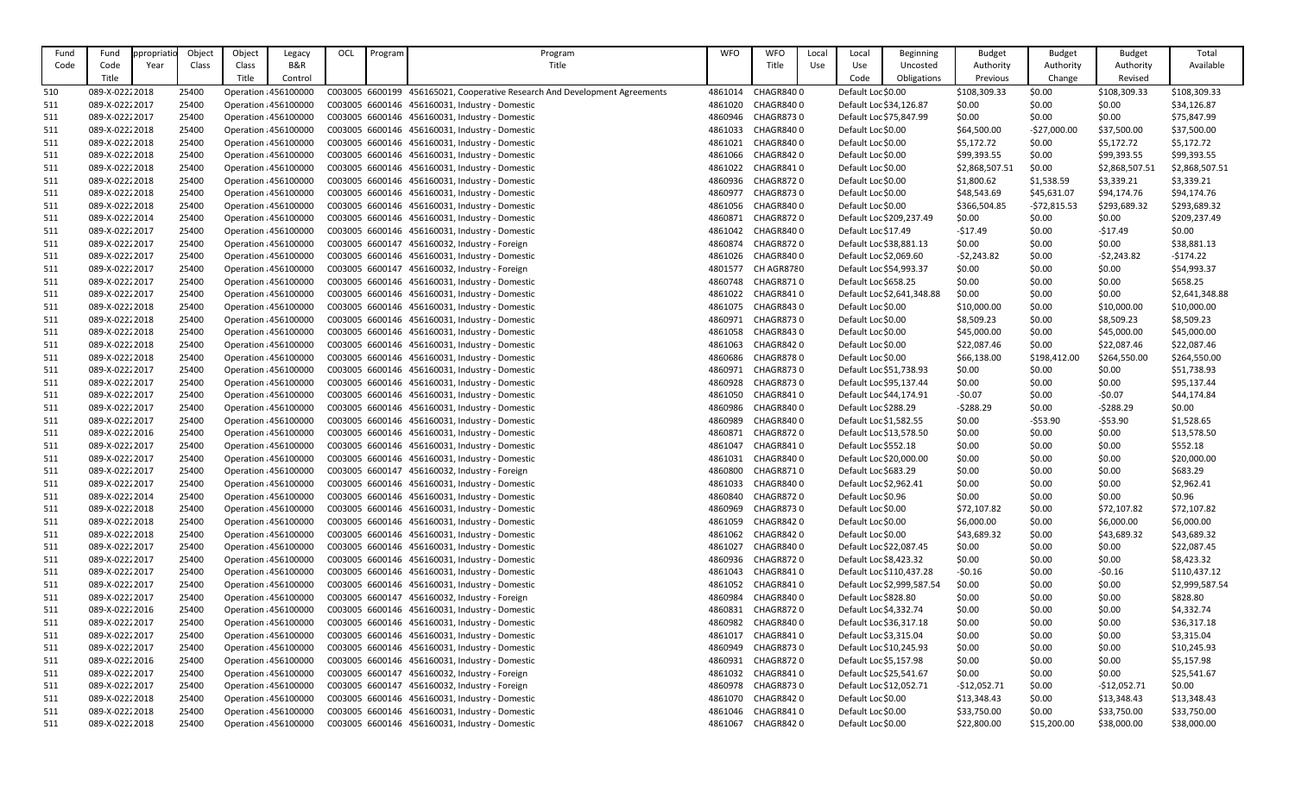| Fund | Fund           | ppropriatio | Object         | Object | Legacy                                         | OCL | Program | Program                                                                    | <b>WFO</b>         | <b>WFO</b>              | Local | Local                                    | <b>Beginning</b>           | <b>Budget</b>          | <b>Budget</b> | <b>Budget</b>               | Total                       |
|------|----------------|-------------|----------------|--------|------------------------------------------------|-----|---------|----------------------------------------------------------------------------|--------------------|-------------------------|-------|------------------------------------------|----------------------------|------------------------|---------------|-----------------------------|-----------------------------|
| Code | Code           | Year        | Class          | Class  | <b>B&amp;R</b>                                 |     |         | Title                                                                      |                    | Title                   | Use   | Use                                      | Uncosted                   | Authority              | Authority     | Authority                   | Available                   |
|      | Title          |             |                | Title  | Control                                        |     |         |                                                                            |                    |                         |       | Code                                     | Obligations                | Previous               | Change        | Revised                     |                             |
| 510  | 089-X-02222018 |             | 25400          |        | Operation : 456100000                          |     |         | C003005 6600199 456165021, Cooperative Research And Development Agreements | 4861014            | CHAGR8400               |       | Default Loc \$0.00                       |                            | \$108,309.33           | \$0.00        | \$108,309.33                | \$108,309.33                |
| 511  | 089-X-02222017 |             | 25400          |        | Operation : 456100000                          |     |         | C003005 6600146 456160031, Industry - Domestic                             | 4861020            | <b>CHAGR8400</b>        |       | Default Loc \$34,126.87                  |                            | \$0.00                 | \$0.00        | \$0.00                      | \$34,126.87                 |
| 511  | 089-X-02222017 |             | 25400          |        | Operation : 456100000                          |     |         | C003005 6600146 456160031, Industry - Domestic                             | 4860946            | <b>CHAGR8730</b>        |       | Default Loc \$75,847.99                  |                            | \$0.00                 | \$0.00        | \$0.00                      | \$75,847.99                 |
| 511  | 089-X-02222018 |             | 25400          |        | Operation : 456100000                          |     |         | C003005 6600146 456160031, Industry - Domestic                             | 4861033            | CHAGR8400               |       | Default Loc \$0.00                       |                            | \$64,500.00            | $-527,000.00$ | \$37,500.00                 | \$37,500.00                 |
| 511  | 089-X-02222018 |             | 25400          |        | Operation : 456100000                          |     |         | C003005 6600146 456160031, Industry - Domestic                             | 4861021            | <b>CHAGR8400</b>        |       | Default Loc \$0.00                       |                            | \$5,172.72             | \$0.00        | \$5,172.72                  | \$5,172.72                  |
| 511  | 089-X-02222018 |             | 25400          |        | Operation : 456100000                          |     |         | C003005 6600146 456160031, Industry - Domestic                             | 4861066            | <b>CHAGR8420</b>        |       | Default Loc \$0.00                       |                            | \$99,393.55            | \$0.00        | \$99,393.55                 | \$99,393.55                 |
| 511  | 089-X-02222018 |             | 25400          |        | Operation : 456100000                          |     |         | C003005 6600146 456160031, Industry - Domestic                             | 4861022            | <b>CHAGR8410</b>        |       | Default Loc \$0.00                       |                            | \$2,868,507.51         | \$0.00        | \$2,868,507.5               | \$2,868,507.51              |
| 511  | 089-X-02222018 |             | 25400          |        | Operation : 456100000                          |     |         | C003005 6600146 456160031, Industry - Domestic                             | 4860936            | <b>CHAGR8720</b>        |       | Default Loc \$0.00                       |                            | \$1,800.62             | \$1,538.59    | \$3,339.21                  | \$3,339.21                  |
|      | 089-X-02222018 |             | 25400          |        |                                                |     |         | C003005 6600146 456160031, Industry - Domestic                             | 4860977            | <b>CHAGR8730</b>        |       |                                          |                            | \$48,543.69            |               |                             |                             |
| 511  | 089-X-02222018 |             |                |        | Operation : 456100000<br>Operation : 456100000 |     |         | C003005 6600146 456160031, Industry - Domestic                             |                    | <b>CHAGR8400</b>        |       | Default Loc \$0.00<br>Default Loc \$0.00 |                            |                        | \$45,631.07   | \$94,174.76<br>\$293,689.32 | \$94,174.76<br>\$293,689.32 |
| 511  | 089-X-02222014 |             | 25400<br>25400 |        | Operation : 456100000                          |     |         | C003005 6600146 456160031, Industry - Domestic                             | 4861056<br>4860871 | <b>CHAGR8720</b>        |       |                                          |                            | \$366,504.85<br>\$0.00 | $-572,815.53$ | \$0.00                      | \$209,237.49                |
| 511  |                |             |                |        |                                                |     |         |                                                                            |                    | <b>CHAGR8400</b>        |       |                                          | Default Loc \$209,237.49   | $-517.49$              | \$0.00        |                             |                             |
| 511  | 089-X-02222017 |             | 25400          |        | Operation : 456100000                          |     |         | C003005 6600146 456160031, Industry - Domestic                             | 4861042            | <b>CHAGR8720</b>        |       | Default Loc \$17.49                      |                            |                        | \$0.00        | $-517.49$                   | \$0.00                      |
| 511  | 089-X-02222017 |             | 25400          |        | Operation : 456100000                          |     |         | C003005 6600147 456160032, Industry - Foreign                              | 4860874            | <b>CHAGR8400</b>        |       | Default Loc \$38,881.13                  |                            | \$0.00                 | \$0.00        | \$0.00                      | \$38,881.13                 |
| 511  | 089-X-02222017 |             | 25400          |        | Operation : 456100000                          |     |         | C003005 6600146 456160031, Industry - Domestic                             | 4861026            |                         |       | Default Loc \$2,069.60                   |                            | $-52,243.82$           | \$0.00        | $-52,243.82$                | $-5174.22$                  |
| 511  | 089-X-02222017 |             | 25400          |        | Operation : 456100000                          |     |         | C003005 6600147 456160032, Industry - Foreign                              | 4801577            | CH AGR8780<br>CHAGR8710 |       | Default Loc \$54,993.37                  |                            | \$0.00                 | \$0.00        | \$0.00                      | \$54,993.37                 |
| 511  | 089-X-02222017 |             | 25400          |        | Operation : 456100000                          |     |         | C003005 6600146 456160031, Industry - Domestic                             | 4860748            |                         |       | Default Loc \$658.25                     |                            | \$0.00                 | \$0.00        | \$0.00                      | \$658.25                    |
| 511  | 089-X-02222017 |             | 25400          |        | Operation : 456100000                          |     |         | C003005 6600146 456160031, Industry - Domestic                             | 4861022            | CHAGR8410               |       |                                          | Default Loc \$2,641,348.88 | \$0.00                 | \$0.00        | \$0.00                      | \$2,641,348.88              |
| 511  | 089-X-02222018 |             | 25400          |        | Operation : 456100000                          |     |         | C003005 6600146 456160031, Industry - Domestic                             | 4861075            | CHAGR8430               |       | Default Loc \$0.00                       |                            | \$10,000.00            | \$0.00        | \$10,000.00                 | \$10,000.00                 |
| 511  | 089-X-02222018 |             | 25400          |        | Operation : 456100000                          |     |         | C003005 6600146 456160031, Industry - Domestic                             | 4860971            | <b>CHAGR8730</b>        |       | Default Loc \$0.00                       |                            | \$8,509.23             | \$0.00        | \$8,509.23                  | \$8,509.23                  |
| 511  | 089-X-02222018 |             | 25400          |        | Operation : 456100000                          |     |         | C003005 6600146 456160031, Industry - Domestic                             | 4861058            | <b>CHAGR8430</b>        |       | Default Loc \$0.00                       |                            | \$45,000.00            | \$0.00        | \$45,000.00                 | \$45,000.00                 |
| 511  | 089-X-02222018 |             | 25400          |        | Operation : 456100000                          |     |         | C003005 6600146 456160031, Industry - Domestic                             | 4861063            | CHAGR8420               |       | Default Loc \$0.00                       |                            | \$22,087.46            | \$0.00        | \$22,087.46                 | \$22,087.46                 |
| 511  | 089-X-02222018 |             | 25400          |        | Operation : 456100000                          |     |         | C003005 6600146 456160031, Industry - Domestic                             | 4860686            | <b>CHAGR8780</b>        |       | Default Loc \$0.00                       |                            | \$66,138.00            | \$198,412.00  | \$264,550.00                | \$264,550.00                |
| 511  | 089-X-02222017 |             | 25400          |        | Operation : 456100000                          |     |         | C003005 6600146 456160031, Industry - Domestic                             | 4860971            | <b>CHAGR8730</b>        |       | Default Loc \$51,738.93                  |                            | \$0.00                 | \$0.00        | \$0.00                      | \$51,738.93                 |
| 511  | 089-X-02222017 |             | 25400          |        | Operation : 456100000                          |     |         | C003005 6600146 456160031, Industry - Domestic                             | 4860928            | <b>CHAGR8730</b>        |       | Default Loc \$95,137.44                  |                            | \$0.00                 | \$0.00        | \$0.00                      | \$95,137.44                 |
| 511  | 089-X-02222017 |             | 25400          |        | Operation : 456100000                          |     |         | C003005 6600146 456160031, Industry - Domestic                             | 4861050            | <b>CHAGR8410</b>        |       | Default Loc \$44,174.91                  |                            | $-50.07$               | \$0.00        | $-50.07$                    | \$44,174.84                 |
| 511  | 089-X-02222017 |             | 25400          |        | Operation : 456100000                          |     |         | C003005 6600146 456160031, Industry - Domestic                             | 4860986            | CHAGR8400               |       | Default Loc \$288.29                     |                            | $-5288.29$             | \$0.00        | $-5288.29$                  | \$0.00                      |
| 511  | 089-X-02222017 |             | 25400          |        | Operation : 456100000                          |     |         | C003005 6600146 456160031, Industry - Domestic                             | 4860989            | <b>CHAGR8400</b>        |       | Default Loc \$1,582.55                   |                            | \$0.00                 | $-553.90$     | $-553.90$                   | \$1,528.65                  |
| 511  | 089-X-02222016 |             | 25400          |        | Operation : 456100000                          |     |         | C003005 6600146 456160031, Industry - Domestic                             | 4860871            | <b>CHAGR8720</b>        |       | Default Loc \$13,578.50                  |                            | \$0.00                 | \$0.00        | \$0.00                      | \$13,578.50                 |
| 511  | 089-X-02222017 |             | 25400          |        | Operation : 456100000                          |     |         | C003005 6600146 456160031, Industry - Domestic                             | 4861047            | CHAGR8410               |       | Default Loc \$552.18                     |                            | \$0.00                 | \$0.00        | \$0.00                      | \$552.18                    |
| 511  | 089-X-02222017 |             | 25400          |        | Operation : 456100000                          |     |         | C003005 6600146 456160031, Industry - Domestic                             | 4861031            | CHAGR8400               |       | Default Loc \$20,000.00                  |                            | \$0.00                 | \$0.00        | \$0.00                      | \$20,000.00                 |
| 511  | 089-X-02222017 |             | 25400          |        | Operation : 456100000                          |     |         | C003005 6600147 456160032, Industry - Foreign                              | 4860800            | CHAGR8710               |       | Default Loc \$683.29                     |                            | \$0.00                 | \$0.00        | \$0.00                      | \$683.29                    |
| 511  | 089-X-02222017 |             | 25400          |        | Operation : 456100000                          |     |         | C003005 6600146 456160031, Industry - Domestic                             | 4861033            | CHAGR8400               |       | Default Loc \$2,962.41                   |                            | \$0.00                 | \$0.00        | \$0.00                      | \$2,962.41                  |
| 511  | 089-X-02222014 |             | 25400          |        | Operation : 456100000                          |     |         | C003005 6600146 456160031, Industry - Domestic                             | 4860840            | CHAGR8720               |       | Default Loc \$0.96                       |                            | \$0.00                 | \$0.00        | \$0.00                      | \$0.96                      |
| 511  | 089-X-02222018 |             | 25400          |        | Operation : 456100000                          |     |         | C003005 6600146 456160031, Industry - Domestic                             | 4860969            | <b>CHAGR8730</b>        |       | Default Loc \$0.00                       |                            | \$72,107.82            | \$0.00        | \$72,107.82                 | \$72,107.82                 |
| 511  | 089-X-02222018 |             | 25400          |        | Operation : 456100000                          |     |         | C003005 6600146 456160031, Industry - Domestic                             | 4861059            | CHAGR8420               |       | Default Loc \$0.00                       |                            | \$6,000.00             | \$0.00        | \$6,000.00                  | \$6,000.00                  |
| 511  | 089-X-02222018 |             | 25400          |        | Operation : 456100000                          |     |         | C003005 6600146 456160031, Industry - Domestic                             | 4861062            | CHAGR8420               |       | Default Loc \$0.00                       |                            | \$43,689.32            | \$0.00        | \$43,689.32                 | \$43,689.32                 |
| 511  | 089-X-02222017 |             | 25400          |        | Operation : 456100000                          |     |         | C003005 6600146 456160031, Industry - Domestic                             | 4861027            | <b>CHAGR8400</b>        |       | Default Loc \$22,087.45                  |                            | \$0.00                 | \$0.00        | \$0.00                      | \$22,087.45                 |
| 511  | 089-X-02222017 |             | 25400          |        | Operation : 456100000                          |     |         | C003005 6600146 456160031, Industry - Domestic                             | 4860936            | CHAGR8720               |       | Default Loc \$8,423.32                   |                            | \$0.00                 | \$0.00        | \$0.00                      | \$8,423.32                  |
| 511  | 089-X-02222017 |             | 25400          |        | Operation : 456100000                          |     |         | C003005 6600146 456160031, Industry - Domestic                             | 4861043            | CHAGR8410               |       |                                          | Default Loc \$110,437.28   | $-50.16$               | \$0.00        | $-50.16$                    | \$110,437.12                |
| 511  | 089-X-02222017 |             | 25400          |        | Operation : 456100000                          |     |         | C003005 6600146 456160031, Industry - Domestic                             | 4861052            | <b>CHAGR8410</b>        |       |                                          | Default Loc \$2,999,587.54 | \$0.00                 | \$0.00        | \$0.00                      | \$2,999,587.54              |
| 511  | 089-X-02222017 |             | 25400          |        | Operation : 456100000                          |     |         | C003005 6600147 456160032, Industry - Foreign                              | 4860984            | CHAGR8400               |       | Default Loc \$828.80                     |                            | \$0.00                 | \$0.00        | \$0.00                      | \$828.80                    |
| 511  | 089-X-02222016 |             | 25400          |        | Operation : 456100000                          |     |         | C003005 6600146 456160031, Industry - Domestic                             | 4860831            | <b>CHAGR8720</b>        |       | Default Loc \$4,332.74                   |                            | \$0.00                 | \$0.00        | \$0.00                      | \$4,332.74                  |
| 511  | 089-X-02222017 |             | 25400          |        | Operation : 456100000                          |     |         | C003005 6600146 456160031, Industry - Domestic                             | 4860982            | CHAGR8400               |       | Default Loc \$36,317.18                  |                            | \$0.00                 | \$0.00        | \$0.00                      | \$36,317.18                 |
| 511  | 089-X-02222017 |             | 25400          |        | Operation : 456100000                          |     |         | C003005 6600146 456160031, Industry - Domestic                             | 4861017            | CHAGR8410               |       | Default Loc \$3,315.04                   |                            | \$0.00                 | \$0.00        | \$0.00                      | \$3,315.04                  |
| 511  | 089-X-02222017 |             | 25400          |        | Operation : 456100000                          |     |         | C003005 6600146 456160031, Industry - Domestic                             | 4860949            | CHAGR8730               |       | Default Loc \$10,245.93                  |                            | \$0.00                 | \$0.00        | \$0.00                      | \$10,245.93                 |
| 511  | 089-X-02222016 |             | 25400          |        | Operation : 456100000                          |     |         | C003005 6600146 456160031, Industry - Domestic                             | 4860931            | <b>CHAGR8720</b>        |       | Default Loc \$5,157.98                   |                            | \$0.00                 | \$0.00        | \$0.00                      | \$5,157.98                  |
| 511  | 089-X-02222017 |             | 25400          |        | Operation : 456100000                          |     |         | C003005 6600147 456160032, Industry - Foreign                              | 4861032            | <b>CHAGR8410</b>        |       | Default Loc \$25,541.67                  |                            | \$0.00                 | \$0.00        | \$0.00                      | \$25,541.67                 |
| 511  | 089-X-02222017 |             | 25400          |        | Operation : 456100000                          |     |         | C003005 6600147 456160032, Industry - Foreign                              | 4860978            | <b>CHAGR8730</b>        |       | Default Loc \$12,052.71                  |                            | $-$12,052.71$          | \$0.00        | $-$12,052.71$               | \$0.00                      |
| 511  | 089-X-02222018 |             | 25400          |        | Operation : 456100000                          |     |         | C003005 6600146 456160031, Industry - Domestic                             | 4861070            | CHAGR8420               |       | Default Loc \$0.00                       |                            | \$13,348.43            | \$0.00        | \$13,348.43                 | \$13,348.43                 |
| 511  | 089-X-02222018 |             | 25400          |        | Operation : 456100000                          |     |         | C003005 6600146 456160031, Industry - Domestic                             | 4861046            | CHAGR8410               |       | Default Loc \$0.00                       |                            | \$33,750.00            | \$0.00        | \$33,750.00                 | \$33,750.00                 |
| 511  | 089-X-02222018 |             | 25400          |        | Operation : 456100000                          |     |         | C003005 6600146 456160031, Industry - Domestic                             | 4861067            | CHAGR8420               |       | Default Loc \$0.00                       |                            | \$22,800.00            | \$15,200.00   | \$38,000.00                 | \$38,000.00                 |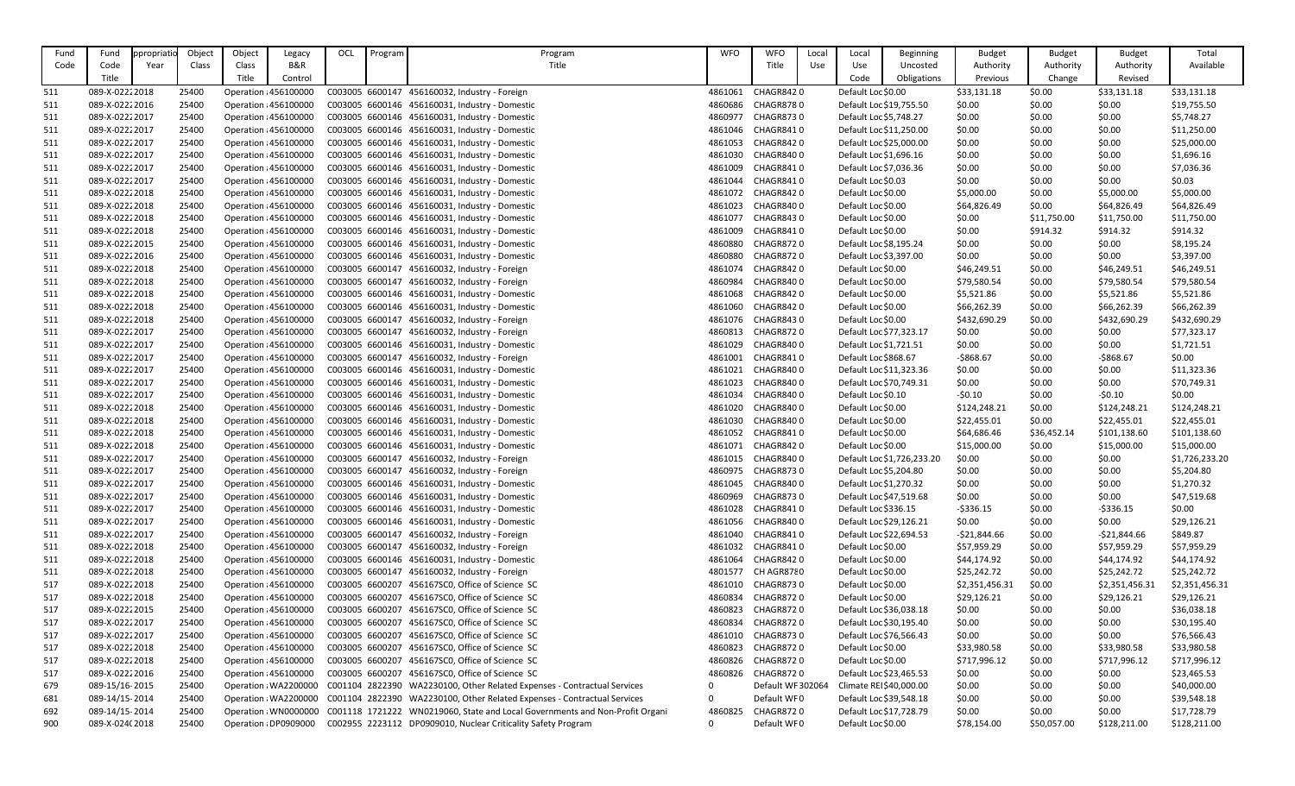| Fund       | Fund                             | ppropriatic | Object         | Object                | Legacy                                         | OCL | Program         | Program                                                                                            | <b>WFO</b>   | <b>WFO</b>             | Local | Local                   | Beginning                  | <b>Budget</b>    | <b>Budget</b>    | <b>Budget</b>    | Total                      |
|------------|----------------------------------|-------------|----------------|-----------------------|------------------------------------------------|-----|-----------------|----------------------------------------------------------------------------------------------------|--------------|------------------------|-------|-------------------------|----------------------------|------------------|------------------|------------------|----------------------------|
| Code       | Code                             | Year        | Class          | Class                 | B&R                                            |     |                 | Title                                                                                              |              | Title                  | Use   | Use                     | Uncosted                   | Authority        | Authority        | Authority        | Available                  |
|            | Title                            |             |                | Title                 | Control                                        |     |                 |                                                                                                    |              |                        |       | Code                    | Obligations                | Previous         | Change           | Revised          |                            |
| 511        | 089-X-02222018                   |             | 25400          |                       | Operation : 456100000                          |     |                 | C003005 6600147 456160032, Industry - Foreign                                                      | 4861061      | <b>CHAGR8420</b>       |       | Default Loc \$0.00      |                            | \$33,131.18      | \$0.00           | \$33,131.18      | \$33,131.18                |
| 511        | 089-X-02222016                   |             | 25400          |                       | Operation : 456100000                          |     |                 | C003005 6600146 456160031, Industry - Domestic                                                     | 4860686      | <b>CHAGR8780</b>       |       | Default Loc \$19,755.50 |                            | \$0.00           | \$0.00           | \$0.00           | \$19,755.50                |
| 511        | 089-X-02222017                   |             | 25400          |                       | Operation : 456100000                          |     |                 | C003005 6600146 456160031, Industry - Domestic                                                     | 4860977      | <b>CHAGR8730</b>       |       | Default Loc \$5,748.27  |                            | \$0.00           | \$0.00           | \$0.00           | \$5,748.27                 |
| 511        | 089-X-02222017                   |             | 25400          |                       | Operation : 456100000                          |     |                 | C003005 6600146 456160031, Industry - Domestic                                                     | 4861046      | CHAGR8410              |       | Default Loc \$11,250.00 |                            | \$0.00           | \$0.00           | \$0.00           | \$11,250.00                |
| 511        | 089-X-02222017                   |             | 25400          |                       | Operation : 456100000                          |     |                 | C003005 6600146 456160031, Industry - Domestic                                                     | 4861053      | <b>CHAGR8420</b>       |       | Default Loc \$25,000.00 |                            | \$0.00           | \$0.00           | \$0.00           | \$25,000.00                |
| 511        | 089-X-02222017                   |             | 25400          |                       | Operation : 456100000                          |     |                 | C003005 6600146 456160031, Industry - Domestic                                                     | 4861030      | CHAGR8400              |       | Default Loc \$1,696.16  |                            | \$0.00           | \$0.00           | \$0.00           | \$1,696.16                 |
| 511        | 089-X-02222017                   |             | 25400          |                       | Operation : 456100000                          |     |                 | C003005 6600146 456160031, Industry - Domestic                                                     | 4861009      | <b>CHAGR8410</b>       |       | Default Loc \$7,036.36  |                            | \$0.00           | \$0.00           | \$0.00           | \$7,036.36                 |
| 511        | 089-X-02222017                   |             | 25400          | Operation : 456100000 |                                                |     |                 | C003005 6600146 456160031, Industry - Domestic                                                     | 4861044      | CHAGR8410              |       | Default Loc \$0.03      |                            | \$0.00           | \$0.00           | \$0.00           | \$0.03                     |
| 511        | 089-X-02222018                   |             | 25400          |                       | Operation : 456100000                          |     |                 | C003005 6600146 456160031, Industry - Domestic                                                     | 4861072      | CHAGR8420              |       | Default Loc \$0.00      |                            | \$5,000.00       | \$0.00           | \$5,000.00       | \$5,000.00                 |
| 511        | 089-X-02222018                   |             | 25400          |                       | Operation : 456100000                          |     |                 | C003005 6600146 456160031, Industry - Domestic                                                     | 4861023      | CHAGR8400              |       | Default Loc \$0.00      |                            | \$64,826.49      | \$0.00           | \$64,826.49      | \$64,826.49                |
| 511        | 089-X-02222018                   |             | 25400          |                       | Operation : 456100000                          |     |                 | C003005 6600146 456160031, Industry - Domestic                                                     | 4861077      | <b>CHAGR8430</b>       |       | Default Loc \$0.00      |                            | \$0.00           | \$11,750.00      | \$11,750.00      | \$11,750.00                |
| 511        | 089-X-02222018                   |             | 25400          | Operation : 456100000 |                                                |     |                 | C003005 6600146 456160031, Industry - Domestic                                                     | 4861009      | CHAGR8410              |       | Default Loc \$0.00      |                            | \$0.00           | \$914.32         | \$914.32         | \$914.32                   |
| 511        | 089-X-02222015                   |             | 25400          |                       | Operation : 456100000                          |     |                 | C003005 6600146 456160031, Industry - Domestic                                                     | 4860880      | <b>CHAGR8720</b>       |       | Default Loc \$8,195.24  |                            | \$0.00           | \$0.00           | \$0.00           | \$8,195.24                 |
| 511        | 089-X-02222016                   |             | 25400          |                       | Operation : 456100000                          |     |                 | C003005 6600146 456160031, Industry - Domestic                                                     | 4860880      | CHAGR8720              |       | Default Loc \$3,397.00  |                            | \$0.00           | \$0.00           | \$0.00           | \$3,397.00                 |
| 511        | 089-X-02222018                   |             | 25400          |                       | Operation : 456100000                          |     |                 | C003005 6600147 456160032, Industry - Foreign                                                      | 4861074      | <b>CHAGR8420</b>       |       | Default Loc \$0.00      |                            | \$46,249.51      | \$0.00           | \$46,249.51      | \$46,249.51                |
| 511        | 089-X-02222018                   |             | 25400          | Operation : 456100000 |                                                |     |                 | C003005 6600147 456160032, Industry - Foreign                                                      | 4860984      | CHAGR8400              |       | Default Loc \$0.00      |                            | \$79,580.54      | \$0.00           | \$79,580.54      | \$79,580.54                |
| 511        | 089-X-02222018                   |             | 25400          | Operation : 456100000 |                                                |     |                 | C003005 6600146 456160031, Industry - Domestic                                                     | 4861068      | <b>CHAGR8420</b>       |       | Default Loc \$0.00      |                            | \$5,521.86       | \$0.00           | \$5,521.86       | \$5,521.86                 |
| 511        | 089-X-02222018                   |             | 25400          |                       | Operation : 456100000                          |     |                 | C003005 6600146 456160031, Industry - Domestic                                                     | 4861060      | <b>CHAGR8420</b>       |       | Default Loc \$0.00      |                            | \$66,262.39      | \$0.00           | \$66,262.39      | \$66,262.39                |
| 511        | 089-X-02222018                   |             | 25400          |                       | Operation : 456100000                          |     |                 | C003005 6600147 456160032, Industry - Foreign                                                      | 4861076      | <b>CHAGR8430</b>       |       | Default Loc \$0.00      |                            | \$432,690.29     | \$0.00           | \$432,690.29     | \$432,690.29               |
| 511        | 089-X-02222017                   |             | 25400          |                       | Operation : 456100000                          |     |                 | C003005 6600147 456160032, Industry - Foreign                                                      | 4860813      | CHAGR8720              |       | Default Loc \$77,323.17 |                            | \$0.00           | \$0.00           | \$0.00           | \$77,323.17                |
| 511        | 089-X-02222017                   |             | 25400          |                       | Operation : 456100000                          |     |                 | C003005 6600146 456160031, Industry - Domestic                                                     | 4861029      | CHAGR8400              |       | Default Loc \$1,721.51  |                            | \$0.00           | \$0.00           | \$0.00           | \$1,721.51                 |
| 511        | 089-X-02222017                   |             | 25400          |                       | Operation : 456100000                          |     |                 | C003005 6600147 456160032, Industry - Foreign                                                      | 4861001      | <b>CHAGR8410</b>       |       | Default Loc \$868.67    |                            | $-5868.67$       | \$0.00           | $-5868.67$       | \$0.00                     |
| 511        | 089-X-02222017                   |             | 25400          |                       | Operation : 456100000                          |     |                 | C003005 6600146 456160031, Industry - Domestic                                                     | 4861021      | CHAGR8400              |       | Default Loc \$11,323.36 |                            | \$0.00           | \$0.00           | \$0.00           | \$11,323.36                |
| 511        | 089-X-02222017                   |             | 25400          |                       | Operation : 456100000                          |     |                 | C003005 6600146 456160031, Industry - Domestic                                                     | 4861023      | CHAGR8400              |       | Default Loc \$70,749.31 |                            | \$0.00           | \$0.00           | \$0.00           | \$70,749.31                |
| 511        | 089-X-02222017                   |             | 25400          |                       | Operation : 456100000                          |     |                 | C003005 6600146 456160031, Industry - Domestic                                                     | 4861034      | CHAGR8400              |       | Default Loc \$0.10      |                            | $-50.10$         | \$0.00           | $-50.10$         | \$0.00                     |
| 511        | 089-X-02222018                   |             | 25400          |                       | Operation : 456100000                          |     |                 | C003005 6600146 456160031, Industry - Domestic                                                     | 4861020      | CHAGR8400              |       | Default Loc \$0.00      |                            | \$124,248.21     | \$0.00           | \$124,248.21     | \$124,248.21               |
| 511        | 089-X-02222018                   |             | 25400          |                       | Operation : 456100000                          |     |                 | C003005 6600146 456160031, Industry - Domestic                                                     | 4861030      | CHAGR8400              |       | Default Loc \$0.00      |                            | \$22,455.01      | \$0.00           | \$22,455.01      | \$22,455.01                |
| 511        | 089-X-02222018                   |             | 25400          |                       | Operation : 456100000                          |     |                 | C003005 6600146 456160031, Industry - Domestic                                                     | 4861052      | CHAGR8410              |       | Default Loc \$0.00      |                            | \$64,686.46      | \$36,452.14      | \$101,138.60     | \$101,138.60               |
| 511        | 089-X-02222018                   |             | 25400          |                       | Operation : 456100000                          |     |                 | C003005 6600146 456160031, Industry - Domestic                                                     | 4861071      | CHAGR8420              |       | Default Loc \$0.00      |                            | \$15,000.00      | \$0.00           | \$15,000.00      | \$15,000.00                |
| 511        | 089-X-02222017                   |             | 25400          |                       | Operation : 456100000                          |     |                 | C003005 6600147 456160032, Industry - Foreign                                                      | 4861015      | CHAGR8400              |       |                         | Default Loc \$1,726,233.20 | \$0.00           | \$0.00           | \$0.00           | \$1,726,233.20             |
| 511        | 089-X-02222017                   |             | 25400          |                       | Operation : 456100000                          |     |                 | C003005 6600147 456160032, Industry - Foreign                                                      | 4860975      | <b>CHAGR8730</b>       |       | Default Loc \$5,204.80  |                            | \$0.00           | \$0.00           | \$0.00           | \$5,204.80                 |
| 511        | 089-X-02222017                   |             | 25400          |                       | Operation : 456100000                          |     |                 | C003005 6600146 456160031, Industry - Domestic                                                     | 4861045      | CHAGR8400              |       | Default Loc \$1,270.32  |                            | \$0.00           | \$0.00           | \$0.00           | \$1,270.32                 |
| 511        | 089-X-02222017                   |             | 25400          |                       | Operation : 456100000                          |     |                 | C003005 6600146 456160031, Industry - Domestic                                                     | 4860969      | CHAGR8730              |       | Default Loc \$47,519.68 |                            | \$0.00           | \$0.00           | \$0.00           | \$47,519.68                |
| 511        | 089-X-02222017                   |             | 25400          |                       | Operation : 456100000                          |     |                 | C003005 6600146 456160031, Industry - Domestic                                                     | 4861028      | CHAGR8410              |       | Default Loc \$336.15    |                            | $-5336.15$       | \$0.00           | $-5336.15$       | \$0.00                     |
| 511        | 089-X-02222017                   |             | 25400          |                       | Operation : 456100000                          |     |                 | C003005 6600146 456160031, Industry - Domestic                                                     | 4861056      | CHAGR8400              |       | Default Loc \$29,126.21 |                            | \$0.00           | \$0.00           | \$0.00           | \$29,126.21                |
| 511        | 089-X-02222017                   |             | 25400          |                       | Operation : 456100000                          |     |                 | C003005 6600147 456160032, Industry - Foreign                                                      | 4861040      | CHAGR8410              |       | Default Loc \$22,694.53 |                            | $-521,844.66$    | \$0.00           | $-521,844.66$    | \$849.87                   |
| 511        | 089-X-02222018                   |             | 25400          |                       | Operation : 456100000                          |     |                 | C003005 6600147 456160032, Industry - Foreign                                                      | 4861032      | CHAGR8410              |       | Default Loc \$0.00      |                            | \$57,959.29      | \$0.00           | \$57,959.29      | \$57,959.29                |
| 511        | 089-X-02222018                   |             | 25400          |                       | Operation : 456100000                          |     |                 | C003005 6600146 456160031, Industry - Domestic                                                     | 4861064      | CHAGR8420              |       | Default Loc \$0.00      |                            | \$44,174.92      | \$0.00           | \$44,174.92      | \$44,174.92                |
| 511        | 089-X-02222018                   |             | 25400          |                       | Operation : 456100000                          |     |                 | C003005 6600147 456160032, Industry - Foreign                                                      | 4801577      | CH AGR8780             |       | Default Loc \$0.00      |                            | \$25,242.72      | \$0.00           | \$25,242.72      | \$25,242.72                |
| 517        | 089-X-02222018                   |             | 25400          |                       | Operation : 456100000                          |     |                 | C003005 6600207 456167SC0, Office of Science SC                                                    | 4861010      | <b>CHAGR8730</b>       |       | Default Loc \$0.00      |                            | \$2,351,456.31   | \$0.00           | \$2,351,456.31   | \$2,351,456.31             |
| 517        | 089-X-02222018                   |             | 25400          |                       | Operation : 456100000                          |     |                 | C003005 6600207 456167SC0, Office of Science SC                                                    | 4860834      | CHAGR8720              |       | Default Loc \$0.00      |                            | \$29,126.21      | \$0.00           | \$29,126.21      | \$29,126.21                |
| 517        | 089-X-02222015                   |             | 25400          |                       | Operation : 456100000                          |     |                 | C003005 6600207 456167SC0, Office of Science SC                                                    | 4860823      | CHAGR8720              |       | Default Loc \$36,038.18 |                            | \$0.00           | \$0.00           | \$0.00           | \$36,038.18                |
| 517        | 089-X-02222017                   |             | 25400          |                       | Operation : 456100000                          |     |                 | C003005 6600207 456167SC0, Office of Science SC                                                    | 4860834      | CHAGR8720              |       | Default Loc \$30,195.40 |                            | \$0.00           | \$0.00           | \$0.00           | \$30,195.40                |
| 517        | 089-X-02222017                   |             | 25400          |                       | Operation : 456100000                          |     |                 | C003005 6600207 456167SC0, Office of Science SC                                                    | 4861010      | CHAGR8730              |       | Default Loc \$76,566.43 |                            | \$0.00           | \$0.00           | \$0.00           | \$76,566.43                |
| 517        | 089-X-02222018                   |             | 25400          |                       | Operation : 456100000                          |     | C003005 6600207 | 456167SC0, Office of Science SC                                                                    | 4860823      | CHAGR8720              |       | Default Loc \$0.00      |                            | \$33,980.58      | \$0.00           | \$33,980.58      | \$33,980.58                |
| 517        | 089-X-02222018                   |             | 25400          |                       | Operation : 456100000                          |     |                 | C003005 6600207 456167SC0, Office of Science SC<br>C003005 6600207 456167SC0, Office of Science SC | 4860826      | CHAGR8720<br>CHAGR8720 |       | Default Loc \$0.00      |                            | \$717,996.12     | \$0.00           | \$717,996.12     | \$717,996.12               |
| 517<br>679 | 089-X-02222016<br>089-15/16-2015 |             | 25400<br>25400 |                       | Operation : 456100000<br>Operation : WA2200000 |     |                 | C001104 2822390 WA2230100, Other Related Expenses - Contractual Services                           | 4860826<br>0 | Default WF 302064      |       | Default Loc \$23,465.53 | Climate REI\$40,000.00     | \$0.00<br>\$0.00 | \$0.00<br>\$0.00 | \$0.00<br>\$0.00 | \$23,465.53<br>\$40,000.00 |
| 681        | 089-14/15-2014                   |             | 25400          |                       | Operation : WA2200000                          |     |                 | C001104 2822390 WA2230100, Other Related Expenses - Contractual Services                           | 0            | Default WF0            |       | Default Loc \$39,548.18 |                            | \$0.00           | \$0.00           | \$0.00           | \$39,548.18                |
| 692        | 089-14/15-2014                   |             | 25400          |                       | Operation: WN0000000                           |     |                 | C001118 1721222 WN0219060, State and Local Governments and Non-Profit Organi                       | 4860825      | CHAGR8720              |       | Default Loc \$17,728.79 |                            | \$0.00           | \$0.00           | \$0.00           | \$17,728.79                |
| 900        | 089-X-024(2018                   |             | 25400          |                       | Operation : DP0909000                          |     |                 | C002955 2223112 DP0909010, Nuclear Criticality Safety Program                                      | 0            | Default WF0            |       | Default Loc \$0.00      |                            | \$78,154.00      | \$50,057.00      | \$128,211.00     | \$128,211.00               |
|            |                                  |             |                |                       |                                                |     |                 |                                                                                                    |              |                        |       |                         |                            |                  |                  |                  |                            |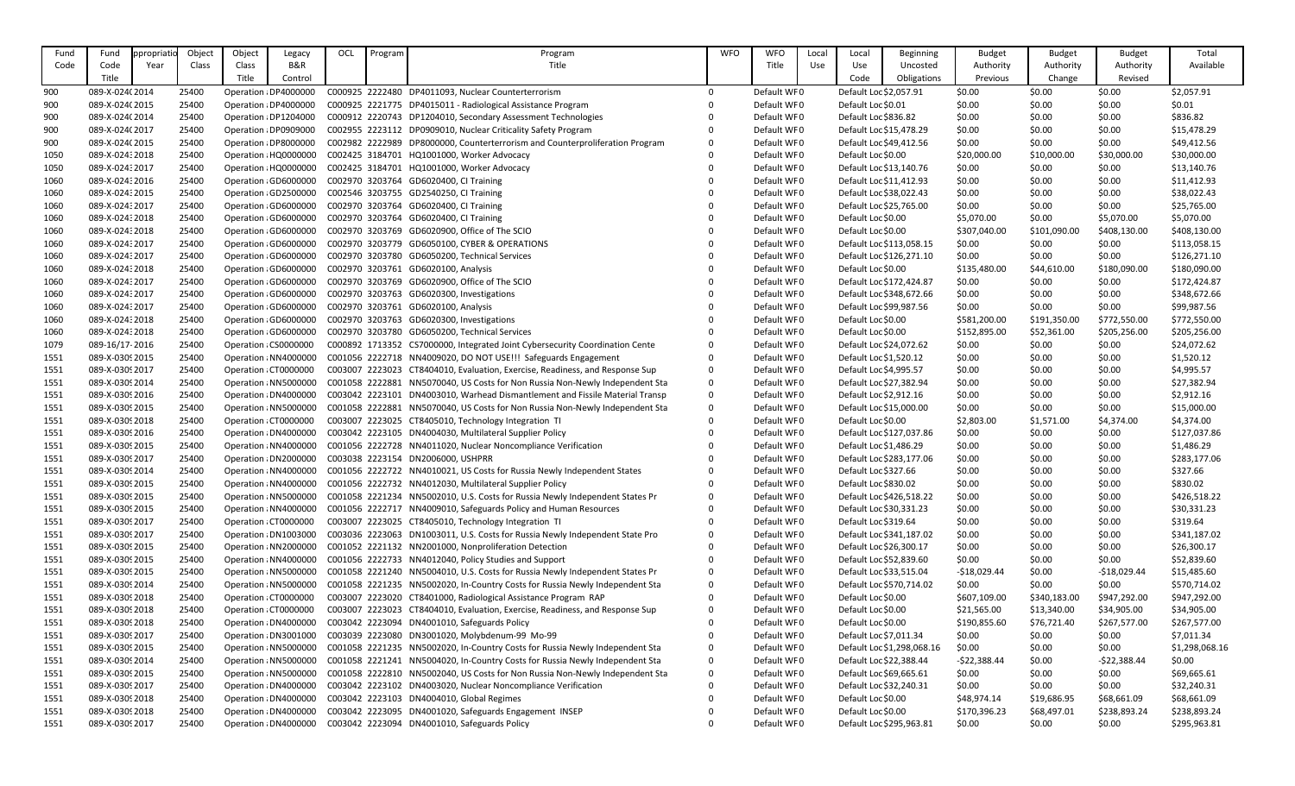| Fund | Fund            | ppropriatio | Object | Object | Legacy                | OCL | Program | Program                                                                      | <b>WFO</b>   | <b>WFO</b>  | Local | Local                   | <b>Beginning</b>           | <b>Budget</b> | <b>Budget</b> | <b>Budget</b> | Total          |
|------|-----------------|-------------|--------|--------|-----------------------|-----|---------|------------------------------------------------------------------------------|--------------|-------------|-------|-------------------------|----------------------------|---------------|---------------|---------------|----------------|
| Code | Code            | Year        | Class  | Class  | <b>B&amp;R</b>        |     |         | Title                                                                        |              | Title       | Use   | Use                     | Uncosted                   | Authority     | Authority     | Authority     | Available      |
|      | Title           |             |        | Title  | Control               |     |         |                                                                              |              |             |       | Code                    | Obligations                | Previous      | Change        | Revised       |                |
| 900  | 089-X-024(2014  |             | 25400  |        | Operation : DP4000000 |     |         | C000925 2222480 DP4011093, Nuclear Counterterrorism                          | $\Omega$     | Default WF0 |       | Default Loc \$2,057.91  |                            | \$0.00        | \$0.00        | \$0.00        | \$2,057.91     |
| 900  | 089-X-024(2015  |             | 25400  |        | Operation : DP4000000 |     |         | C000925 2221775 DP4015011 - Radiological Assistance Program                  | $\Omega$     | Default WF0 |       | Default Loc \$0.01      |                            | \$0.00        | \$0.00        | \$0.00        | \$0.01         |
| 900  | 089-X-024(2014  |             | 25400  |        | Operation : DP1204000 |     |         | C000912 2220743 DP1204010, Secondary Assessment Technologies                 |              | Default WF0 |       | Default Loc \$836.82    |                            | \$0.00        | \$0.00        | \$0.00        | \$836.82       |
| 900  | 089-X-024(2017  |             | 25400  |        | Operation : DP0909000 |     |         | C002955 2223112 DP0909010, Nuclear Criticality Safety Program                |              | Default WF0 |       | Default Loc \$15,478.29 |                            | \$0.00        | \$0.00        | \$0.00        | \$15,478.29    |
|      | 089-X-024(2015  |             | 25400  |        | Operation : DP8000000 |     |         | C002982 2222989 DP8000000, Counterterrorism and Counterproliferation Program | $\mathbf 0$  | Default WF0 |       | Default Loc \$49,412.56 |                            | \$0.00        | \$0.00        | \$0.00        | \$49,412.56    |
| 900  | 089-X-02432018  |             | 25400  |        | Operation : HQ0000000 |     |         | C002425 3184701 HQ1001000, Worker Advocacy                                   | $\mathbf 0$  | Default WF0 |       | Default Loc \$0.00      |                            | \$20,000.00   |               |               |                |
| 1050 |                 |             |        |        |                       |     |         |                                                                              | $\Omega$     | Default WF0 |       |                         |                            |               | \$10,000.00   | \$30,000.00   | \$30,000.00    |
| 1050 | 089-X-02432017  |             | 25400  |        | Operation : HQ0000000 |     |         | C002425 3184701 HQ1001000, Worker Advocacy                                   |              |             |       | Default Loc \$13,140.76 |                            | \$0.00        | \$0.00        | \$0.00        | \$13,140.76    |
| 1060 | 089-X-02432016  |             | 25400  |        | Operation : GD6000000 |     |         | C002970 3203764 GD6020400, CI Training                                       |              | Default WF0 |       | Default Loc \$11,412.93 |                            | \$0.00        | \$0.00        | \$0.00        | \$11,412.93    |
| 1060 | 089-X-02432015  |             | 25400  |        | Operation : GD2500000 |     |         | C002546 3203755 GD2540250, CI Training                                       |              | Default WF0 |       | Default Loc \$38,022.43 |                            | \$0.00        | \$0.00        | \$0.00        | \$38,022.43    |
| 1060 | 089-X-02432017  |             | 25400  |        | Operation : GD6000000 |     |         | C002970 3203764 GD6020400, CI Training                                       |              | Default WF0 |       | Default Loc \$25,765.00 |                            | \$0.00        | \$0.00        | \$0.00        | \$25,765.00    |
| 1060 | 089-X-02432018  |             | 25400  |        | Operation : GD6000000 |     |         | C002970 3203764 GD6020400, CI Training                                       |              | Default WF0 |       | Default Loc \$0.00      |                            | \$5,070.00    | \$0.00        | \$5,070.00    | \$5,070.00     |
| 1060 | 089-X-02432018  |             | 25400  |        | Operation : GD6000000 |     |         | C002970 3203769 GD6020900, Office of The SCIO                                |              | Default WF0 |       | Default Loc \$0.00      |                            | \$307,040.00  | \$101,090.00  | \$408,130.00  | \$408,130.00   |
| 1060 | 089-X-02432017  |             | 25400  |        | Operation : GD6000000 |     |         | C002970 3203779 GD6050100, CYBER & OPERATIONS                                |              | Default WF0 |       |                         | Default Loc \$113,058.15   | \$0.00        | \$0.00        | \$0.00        | \$113,058.15   |
| 1060 | 089-X-02432017  |             | 25400  |        | Operation : GD6000000 |     |         | C002970 3203780 GD6050200, Technical Services                                |              | Default WF0 |       |                         | Default Loc \$126,271.10   | \$0.00        | \$0.00        | \$0.00        | \$126,271.10   |
| 1060 | 089-X-02432018  |             | 25400  |        | Operation : GD6000000 |     |         | C002970 3203761 GD6020100, Analysis                                          |              | Default WF0 |       | Default Loc \$0.00      |                            | \$135,480.00  | \$44,610.00   | \$180,090.00  | \$180,090.00   |
| 1060 | 089-X-02432017  |             | 25400  |        | Operation : GD6000000 |     |         | C002970 3203769 GD6020900, Office of The SCIO                                |              | Default WF0 |       |                         | Default Loc \$172,424.87   | \$0.00        | \$0.00        | \$0.00        | \$172,424.87   |
| 1060 | 089-X-02432017  |             | 25400  |        | Operation : GD6000000 |     |         | C002970 3203763 GD6020300, Investigations                                    |              | Default WF0 |       |                         | Default Loc \$348,672.66   | \$0.00        | \$0.00        | \$0.00        | \$348,672.66   |
| 1060 | 089-X-02432017  |             | 25400  |        | Operation : GD6000000 |     |         | C002970 3203761 GD6020100, Analysis                                          |              | Default WF0 |       | Default Loc \$99,987.56 |                            | \$0.00        | \$0.00        | \$0.00        | \$99,987.56    |
| 1060 | 089-X-02432018  |             | 25400  |        | Operation : GD6000000 |     |         | C002970 3203763 GD6020300, Investigations                                    |              | Default WF0 |       | Default Loc \$0.00      |                            | \$581,200.00  | \$191,350.00  | \$772,550.00  | \$772,550.00   |
| 1060 | 089-X-02432018  |             | 25400  |        | Operation : GD6000000 |     |         | C002970 3203780 GD6050200, Technical Services                                |              | Default WF0 |       | Default Loc \$0.00      |                            | \$152,895.00  | \$52,361.00   | \$205,256.00  | \$205,256.00   |
| 1079 | 089-16/17-2016  |             | 25400  |        | Operation : CS0000000 |     |         | C000892 1713352 CS7000000, Integrated Joint Cybersecurity Coordination Cente | $\Omega$     | Default WF0 |       | Default Loc \$24,072.62 |                            | \$0.00        | \$0.00        | \$0.00        | \$24,072.62    |
| 1551 | 089-X-0309 2015 |             | 25400  |        | Operation : NN4000000 |     |         | C001056 2222718 NN4009020, DO NOT USE!!! Safeguards Engagement               | $\mathbf 0$  | Default WF0 |       | Default Loc \$1,520.12  |                            | \$0.00        | \$0.00        | \$0.00        | \$1,520.12     |
| 1551 | 089-X-0309 2017 |             | 25400  |        | Operation : CT0000000 |     |         | C003007 2223023 CT8404010, Evaluation, Exercise, Readiness, and Response Sup | $\mathbf 0$  | Default WF0 |       | Default Loc \$4,995.57  |                            | \$0.00        | \$0.00        | \$0.00        | \$4,995.57     |
| 1551 | 089-X-0309 2014 |             | 25400  |        | Operation : NN5000000 |     |         | C001058 2222881 NN5070040, US Costs for Non Russia Non-Newly Independent Sta | $\mathbf 0$  | Default WF0 |       | Default Loc \$27,382.94 |                            | \$0.00        | \$0.00        | \$0.00        | \$27,382.94    |
| 1551 | 089-X-0309 2016 |             | 25400  |        | Operation : DN4000000 |     |         | C003042 2223101 DN4003010, Warhead Dismantlement and Fissile Material Transp | $\mathbf 0$  | Default WF0 |       | Default Loc \$2,912.16  |                            | \$0.00        | \$0.00        | \$0.00        | \$2,912.16     |
| 1551 | 089-X-0309 2015 |             | 25400  |        | Operation : NN5000000 |     |         | C001058 2222881 NN5070040, US Costs for Non Russia Non-Newly Independent Sta | $\mathbf 0$  | Default WF0 |       | Default Loc \$15,000.00 |                            | \$0.00        | \$0.00        | \$0.00        | \$15,000.00    |
| 1551 | 089-X-0309 2018 |             | 25400  |        | Operation : CT0000000 |     |         | C003007 2223025 CT8405010, Technology Integration TI                         | $\mathbf 0$  | Default WF0 |       | Default Loc \$0.00      |                            | \$2,803.00    | \$1,571.00    | \$4,374.00    | \$4,374.00     |
| 1551 | 089-X-0309 2016 |             | 25400  |        | Operation : DN4000000 |     |         | C003042 2223105 DN4004030, Multilateral Supplier Policy                      | $\Omega$     | Default WF0 |       |                         | Default Loc \$127,037.86   | \$0.00        | \$0.00        | \$0.00        | \$127,037.86   |
| 1551 | 089-X-0309 2015 |             | 25400  |        | Operation : NN4000000 |     |         | C001056 2222728 NN4011020, Nuclear Noncompliance Verification                |              | Default WF0 |       | Default Loc \$1,486.29  |                            | \$0.00        | \$0.00        | \$0.00        | \$1,486.29     |
| 1551 | 089-X-0309 2017 |             | 25400  |        | Operation : DN2000000 |     |         | C003038 2223154 DN2006000, USHPRR                                            |              | Default WF0 |       |                         | Default Loc \$283,177.06   | \$0.00        | \$0.00        | \$0.00        | \$283,177.06   |
| 1551 | 089-X-0309 2014 |             | 25400  |        | Operation : NN4000000 |     |         | C001056 2222722 NN4010021, US Costs for Russia Newly Independent States      | $\Omega$     | Default WF0 |       | Default Loc \$327.66    |                            | \$0.00        | \$0.00        | \$0.00        | \$327.66       |
| 1551 | 089-X-0309 2015 |             | 25400  |        | Operation : NN4000000 |     |         | C001056 2222732 NN4012030, Multilateral Supplier Policy                      |              | Default WF0 |       | Default Loc \$830.02    |                            | \$0.00        | \$0.00        | \$0.00        | \$830.02       |
| 1551 | 089-X-0309 2015 |             | 25400  |        | Operation : NN5000000 |     |         | C001058 2221234 NN5002010, U.S. Costs for Russia Newly Independent States Pr | $\Omega$     | Default WF0 |       |                         | Default Loc \$426,518.22   | \$0.00        | \$0.00        | \$0.00        | \$426,518.22   |
| 1551 | 089-X-0309 2015 |             | 25400  |        | Operation : NN4000000 |     |         | C001056 2222717 NN4009010, Safeguards Policy and Human Resources             |              | Default WF0 |       | Default Loc \$30,331.23 |                            | \$0.00        | \$0.00        | \$0.00        | \$30,331.23    |
| 1551 | 089-X-0309 2017 |             | 25400  |        | Operation : CT0000000 |     |         | C003007 2223025 CT8405010, Technology Integration TI                         |              | Default WF0 |       | Default Loc \$319.64    |                            | \$0.00        | \$0.00        | \$0.00        | \$319.64       |
| 1551 | 089-X-0309 2017 |             | 25400  |        | Operation : DN1003000 |     |         | C003036 2223063 DN1003011, U.S. Costs for Russia Newly Independent State Pro | $\Omega$     | Default WF0 |       |                         | Default Loc \$341,187.02   | \$0.00        | \$0.00        | \$0.00        | \$341,187.02   |
| 1551 | 089-X-0309 2015 |             | 25400  |        | Operation : NN2000000 |     |         | C001052 2221132 NN2001000, Nonproliferation Detection                        |              | Default WF0 |       | Default Loc \$26,300.17 |                            | \$0.00        | \$0.00        | \$0.00        | \$26,300.17    |
| 1551 | 089-X-0309 2015 |             | 25400  |        | Operation : NN4000000 |     |         | C001056 2222733 NN4012040, Policy Studies and Support                        |              | Default WF0 |       | Default Loc \$52,839.60 |                            | \$0.00        | \$0.00        | \$0.00        | \$52,839.60    |
| 1551 | 089-X-0309 2015 |             | 25400  |        | Operation : NN5000000 |     |         | C001058 2221240 NN5004010, U.S. Costs for Russia Newly Independent States Pr | $\Omega$     | Default WF0 |       | Default Loc \$33,515.04 |                            | $-$18,029.44$ | \$0.00        | $-$18,029.44$ | \$15,485.60    |
| 1551 | 089-X-0309 2014 |             | 25400  |        | Operation : NN5000000 |     |         | C001058 2221235 NN5002020, In-Country Costs for Russia Newly Independent Sta | $\mathbf 0$  | Default WF0 |       |                         | Default Loc \$570,714.02   | \$0.00        | \$0.00        | \$0.00        | \$570,714.02   |
| 1551 | 089-X-0309 2018 |             | 25400  |        | Operation : CT0000000 |     |         | C003007 2223020 CT8401000, Radiological Assistance Program RAP               | $\Omega$     | Default WF0 |       | Default Loc \$0.00      |                            | \$607,109.00  | \$340,183.00  | \$947,292.00  | \$947,292.00   |
| 1551 | 089-X-0309 2018 |             | 25400  |        | Operation : CT0000000 |     |         | C003007 2223023 CT8404010, Evaluation, Exercise, Readiness, and Response Sup | $\Omega$     | Default WF0 |       | Default Loc \$0.00      |                            | \$21,565.00   | \$13,340.00   | \$34,905.00   | \$34,905.00    |
|      | 089-X-0309 2018 |             | 25400  |        | Operation : DN4000000 |     |         | C003042 2223094 DN4001010, Safeguards Policy                                 |              | Default WF0 |       |                         |                            |               |               |               | \$267,577.00   |
| 1551 | 089-X-0309 2017 |             |        |        | Operation : DN3001000 |     |         | C003039 2223080 DN3001020, Molybdenum-99 Mo-99                               |              | Default WF0 |       | Default Loc \$0.00      |                            | \$190,855.60  | \$76,721.40   | \$267,577.00  | \$7,011.34     |
| 1551 |                 |             | 25400  |        |                       |     |         |                                                                              |              |             |       | Default Loc \$7,011.34  |                            | \$0.00        | \$0.00        | \$0.00        |                |
| 1551 | 089-X-0309 2015 |             | 25400  |        | Operation : NN5000000 |     |         | C001058 2221235 NN5002020, In-Country Costs for Russia Newly Independent Sta | $\mathbf 0$  | Default WF0 |       |                         | Default Loc \$1,298,068.16 | \$0.00        | \$0.00        | \$0.00        | \$1,298,068.16 |
| 1551 | 089-X-0309 2014 |             | 25400  |        | Operation : NN5000000 |     |         | C001058 2221241 NN5004020, In-Country Costs for Russia Newly Independent Sta | $\mathbf{0}$ | Default WF0 |       | Default Loc \$22,388.44 |                            | $-522,388.44$ | \$0.00        | $-522,388.44$ | \$0.00         |
| 1551 | 089-X-0309 2015 |             | 25400  |        | Operation : NN5000000 |     |         | C001058 2222810 NN5002040, US Costs for Non Russia Non-Newly Independent Sta | $\mathbf 0$  | Default WF0 |       | Default Loc \$69,665.61 |                            | \$0.00        | \$0.00        | \$0.00        | \$69,665.61    |
| 1551 | 089-X-0309 2017 |             | 25400  |        | Operation : DN4000000 |     |         | C003042 2223102 DN4003020, Nuclear Noncompliance Verification                |              | Default WF0 |       | Default Loc \$32,240.31 |                            | \$0.00        | \$0.00        | \$0.00        | \$32,240.31    |
| 1551 | 089-X-0309 2018 |             | 25400  |        | Operation : DN4000000 |     |         | C003042 2223103 DN4004010, Global Regimes                                    |              | Default WF0 |       | Default Loc \$0.00      |                            | \$48,974.14   | \$19,686.95   | \$68,661.09   | \$68,661.09    |
| 1551 | 089-X-0309 2018 |             | 25400  |        | Operation : DN4000000 |     |         | C003042 2223095 DN4001020, Safeguards Engagement INSEP                       |              | Default WF0 |       | Default Loc \$0.00      |                            | \$170,396.23  | \$68,497.01   | \$238,893.24  | \$238,893.24   |
| 1551 | 089-X-0309 2017 |             | 25400  |        | Operation : DN4000000 |     |         | C003042 2223094 DN4001010, Safeguards Policy                                 |              | Default WF0 |       |                         | Default Loc \$295,963.81   | \$0.00        | \$0.00        | \$0.00        | \$295,963.81   |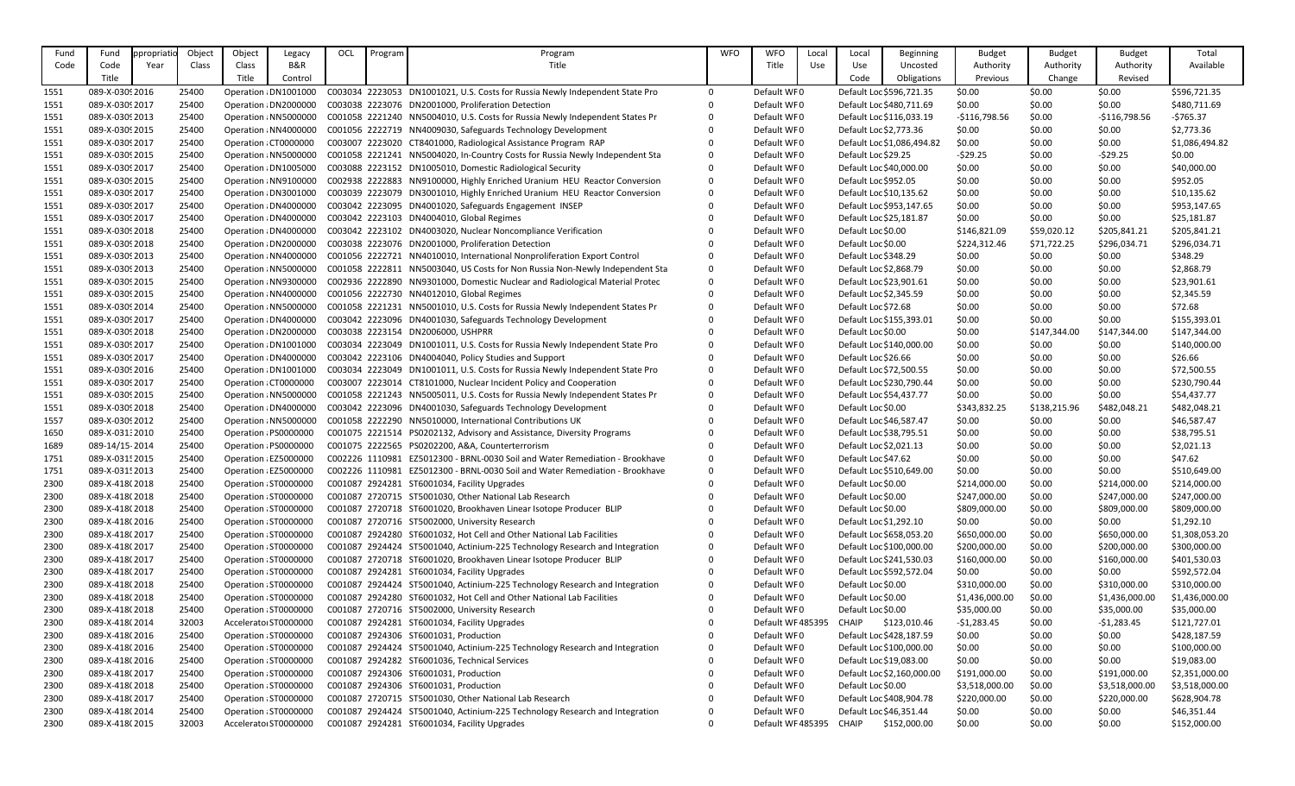| Fund | Fund            | ppropriatic | Object | Object                | Legacy                | OCL | Program | Program                                                                      | <b>WFO</b>   | <b>WFO</b>       | Local      | Local                  | <b>Beginning</b>           | <b>Budget</b>  | <b>Budget</b> | <b>Budget</b>  | Total          |
|------|-----------------|-------------|--------|-----------------------|-----------------------|-----|---------|------------------------------------------------------------------------------|--------------|------------------|------------|------------------------|----------------------------|----------------|---------------|----------------|----------------|
| Code | Code            | Year        | Class  | Class                 | <b>B&amp;R</b>        |     |         | Title                                                                        |              | Title            | <b>Use</b> | Use                    | Uncosted                   | Authority      | Authority     | Authority      | Available      |
|      | Title           |             |        | Title                 | Control               |     |         |                                                                              |              |                  |            | Code                   | Obligations                | Previous       | Change        | Revised        |                |
| 1551 | 089-X-0309 2016 |             | 25400  |                       | Operation : DN1001000 |     |         | C003034 2223053 DN1001021, U.S. Costs for Russia Newly Independent State Pro | 0            | Default WF0      |            |                        | Default Loc \$596,721.35   | \$0.00         | \$0.00        | \$0.00         | \$596,721.35   |
| 1551 | 089-X-0309 2017 |             | 25400  |                       | Operation : DN2000000 |     |         | C003038 2223076 DN2001000, Proliferation Detection                           | $\Omega$     | Default WF0      |            |                        | Default Loc \$480,711.69   | \$0.00         | \$0.00        | \$0.00         | \$480,711.69   |
| 1551 | 089-X-0309 2013 |             | 25400  |                       | Operation : NN5000000 |     |         | C001058 2221240 NN5004010, U.S. Costs for Russia Newly Independent States Pr | 0            | Default WF0      |            |                        | Default Loc \$116,033.19   | $-$116,798.56$ | \$0.00        | $-$116,798.56$ | $-5765.37$     |
| 1551 | 089-X-0309 2015 |             | 25400  |                       | Operation : NN4000000 |     |         | C001056 2222719 NN4009030, Safeguards Technology Development                 | $\mathbf{0}$ | Default WF0      |            | Default Loc \$2,773.36 |                            | \$0.00         | \$0.00        | \$0.00         | \$2,773.36     |
| 1551 | 089-X-0309 2017 |             | 25400  |                       | Operation : CT0000000 |     |         | C003007 2223020 CT8401000, Radiological Assistance Program RAP               | $\Omega$     | Default WF0      |            |                        | Default Loc \$1,086,494.82 | \$0.00         | \$0.00        | \$0.00         | \$1,086,494.82 |
| 1551 | 089-X-0309 2015 |             | 25400  |                       | Operation : NN5000000 |     |         | C001058 2221241 NN5004020, In-Country Costs for Russia Newly Independent Sta | 0            | Default WF0      |            | Default Loc \$29.25    |                            | $-529.25$      | \$0.00        | $-529.25$      | \$0.00         |
| 1551 | 089-X-0309 2017 |             | 25400  |                       | Operation : DN1005000 |     |         | C003088 2223152 DN1005010, Domestic Radiological Security                    | $\Omega$     | Default WF0      |            |                        | Default Loc \$40,000.00    | \$0.00         | \$0.00        | \$0.00         | \$40,000.00    |
| 1551 | 089-X-0309 2015 |             | 25400  |                       | Operation : NN9100000 |     |         | C002938 2222883 NN9100000, Highly Enriched Uranium HEU Reactor Conversion    | 0            | Default WF0      |            | Default Loc \$952.05   |                            | \$0.00         | \$0.00        | \$0.00         | \$952.05       |
| 1551 | 089-X-0309 2017 |             | 25400  |                       | Operation : DN3001000 |     |         | C003039 2223079 DN3001010, Highly Enriched Uranium HEU Reactor Conversion    | $\mathbf 0$  | Default WF0      |            |                        | Default Loc \$10,135.62    | \$0.00         | \$0.00        | \$0.00         | \$10,135.62    |
| 1551 | 089-X-0309 2017 |             | 25400  |                       | Operation : DN4000000 |     |         | C003042 2223095 DN4001020, Safeguards Engagement INSEP                       | $\Omega$     | Default WF0      |            |                        | Default Loc \$953,147.65   | \$0.00         | \$0.00        | \$0.00         | \$953,147.65   |
| 1551 | 089-X-0309 2017 |             | 25400  |                       | Operation : DN4000000 |     |         | C003042 2223103 DN4004010, Global Regimes                                    | $\Omega$     | Default WF0      |            |                        | Default Loc \$25,181.87    | \$0.00         | \$0.00        | \$0.00         | \$25,181.87    |
| 1551 | 089-X-0309 2018 |             | 25400  |                       | Operation : DN4000000 |     |         | C003042 2223102 DN4003020, Nuclear Noncompliance Verification                | $\Omega$     | Default WF0      |            | Default Loc \$0.00     |                            | \$146,821.09   | \$59,020.12   | \$205,841.21   | \$205,841.21   |
| 1551 | 089-X-0309 2018 |             | 25400  |                       | Operation : DN2000000 |     |         | C003038 2223076 DN2001000, Proliferation Detection                           | $\Omega$     | Default WF0      |            | Default Loc \$0.00     |                            | \$224,312.46   | \$71,722.25   | \$296,034.71   | \$296,034.71   |
| 1551 | 089-X-0309 2013 |             | 25400  |                       | Operation : NN4000000 |     |         | C001056 2222721 NN4010010, International Nonproliferation Export Control     | $\mathbf 0$  | Default WF0      |            | Default Loc \$348.29   |                            | \$0.00         | \$0.00        | \$0.00         | \$348.29       |
| 1551 | 089-X-0309 2013 |             | 25400  |                       | Operation : NN5000000 |     |         | C001058 2222811 NN5003040, US Costs for Non Russia Non-Newly Independent Sta | 0            | Default WF0      |            | Default Loc \$2,868.79 |                            | \$0.00         | \$0.00        | \$0.00         | \$2,868.79     |
| 1551 | 089-X-0309 2015 |             | 25400  |                       | Operation : NN9300000 |     |         | C002936 2222890 NN9301000, Domestic Nuclear and Radiological Material Protec | 0            | Default WF0      |            |                        | Default Loc \$23,901.61    | \$0.00         | \$0.00        | \$0.00         | \$23,901.61    |
| 1551 | 089-X-0309 2015 |             | 25400  |                       | Operation : NN4000000 |     |         | C001056 2222730 NN4012010, Global Regimes                                    | 0            | Default WF0      |            | Default Loc \$2,345.59 |                            | \$0.00         | \$0.00        | \$0.00         | \$2,345.59     |
| 1551 | 089-X-0309 2014 |             | 25400  |                       | Operation : NN5000000 |     |         | C001058 2221231 NN5001010, U.S. Costs for Russia Newly Independent States Pr | 0            | Default WF0      |            | Default Loc \$72.68    |                            | \$0.00         | \$0.00        | \$0.00         | \$72.68        |
| 1551 | 089-X-0309 2017 |             | 25400  |                       | Operation : DN4000000 |     |         | C003042 2223096 DN4001030, Safeguards Technology Development                 | 0            | Default WF0      |            |                        | Default Loc \$155,393.01   | \$0.00         | \$0.00        | \$0.00         | \$155,393.01   |
| 1551 | 089-X-0309 2018 |             | 25400  |                       | Operation : DN2000000 |     |         | C003038 2223154 DN2006000, USHPRR                                            | $\Omega$     | Default WF0      |            | Default Loc \$0.00     |                            | \$0.00         | \$147,344.00  | \$147,344.00   | \$147,344.00   |
| 1551 | 089-X-0309 2017 |             | 25400  |                       | Operation : DN1001000 |     |         | C003034 2223049 DN1001011, U.S. Costs for Russia Newly Independent State Pro | 0            | Default WF0      |            |                        | Default Loc \$140,000.00   | \$0.00         | \$0.00        | \$0.00         | \$140,000.00   |
| 1551 | 089-X-0309 2017 |             | 25400  |                       | Operation : DN4000000 |     |         | C003042 2223106 DN4004040, Policy Studies and Support                        | 0            | Default WF0      |            | Default Loc \$26.66    |                            | \$0.00         | \$0.00        | \$0.00         | \$26.66        |
| 1551 | 089-X-0309 2016 |             | 25400  |                       | Operation : DN1001000 |     |         | C003034 2223049 DN1001011, U.S. Costs for Russia Newly Independent State Pro | $\Omega$     | Default WF0      |            |                        | Default Loc \$72,500.55    | \$0.00         | \$0.00        | \$0.00         | \$72,500.55    |
| 1551 | 089-X-0309 2017 |             | 25400  | Operation : CT0000000 |                       |     |         | C003007 2223014 CT8101000, Nuclear Incident Policy and Cooperation           | 0            | Default WF0      |            |                        | Default Loc \$230,790.44   | \$0.00         | \$0.00        | \$0.00         | \$230,790.44   |
| 1551 | 089-X-0309 2015 |             | 25400  |                       | Operation : NN5000000 |     |         | C001058 2221243 NN5005011, U.S. Costs for Russia Newly Independent States Pr | $\mathbf 0$  | Default WF0      |            |                        | Default Loc \$54,437.77    | \$0.00         | \$0.00        | \$0.00         | \$54,437.77    |
| 1551 | 089-X-0309 2018 |             | 25400  |                       | Operation : DN4000000 |     |         | C003042 2223096 DN4001030, Safeguards Technology Development                 | $\Omega$     | Default WF0      |            | Default Loc \$0.00     |                            | \$343,832.25   | \$138,215.96  | \$482,048.21   | \$482,048.21   |
| 1557 | 089-X-0309 2012 |             | 25400  |                       | Operation : NN5000000 |     |         | C001058 2222290 NN5010000, International Contributions UK                    | $\Omega$     | Default WF0      |            |                        | Default Loc \$46,587.47    | \$0.00         | \$0.00        | \$0.00         | \$46,587.47    |
| 1650 | 089-X-03132010  |             | 25400  |                       | Operation : PS0000000 |     |         | C001075 2221514 PS0202132, Advisory and Assistance, Diversity Programs       | $\Omega$     | Default WF0      |            |                        | Default Loc \$38,795.51    | \$0.00         | \$0.00        | \$0.00         | \$38,795.51    |
| 1689 | 089-14/15-2014  |             | 25400  |                       | Operation : PS0000000 |     |         | C001075 2222565 PS0202200, A&A, Counterterrorism                             | 0            | Default WF0      |            | Default Loc \$2,021.13 |                            | \$0.00         | \$0.00        | \$0.00         | \$2,021.13     |
| 1751 | 089-X-0315 2015 |             | 25400  |                       | Operation : EZ5000000 |     |         | C002226 1110981 EZ5012300 - BRNL-0030 Soil and Water Remediation - Brookhave | 0            | Default WF0      |            | Default Loc \$47.62    |                            | \$0.00         | \$0.00        | \$0.00         | \$47.62        |
| 1751 | 089-X-0315 2013 |             | 25400  | Operation : EZ5000000 |                       |     |         | C002226 1110981 EZ5012300 - BRNL-0030 Soil and Water Remediation - Brookhave | $\mathbf 0$  | Default WF0      |            |                        | Default Loc \$510,649.00   | \$0.00         | \$0.00        | \$0.00         | \$510,649.00   |
| 2300 | 089-X-418(2018  |             | 25400  | Operation : ST0000000 |                       |     |         | C001087 2924281 ST6001034, Facility Upgrades                                 | 0            | Default WF0      |            | Default Loc \$0.00     |                            | \$214,000.00   | \$0.00        | \$214,000.00   | \$214,000.00   |
| 2300 | 089-X-418(2018  |             | 25400  | Operation : ST0000000 |                       |     |         | C001087 2720715 ST5001030, Other National Lab Research                       |              | Default WF0      |            | Default Loc \$0.00     |                            | \$247,000.00   | \$0.00        | \$247,000.00   | \$247,000.00   |
| 2300 | 089-X-418(2018  |             | 25400  | Operation : ST0000000 |                       |     |         | C001087 2720718 ST6001020, Brookhaven Linear Isotope Producer BLIP           |              | Default WF0      |            | Default Loc \$0.00     |                            | \$809,000.00   | \$0.00        | \$809,000.00   | \$809,000.00   |
| 2300 | 089-X-418(2016  |             | 25400  | Operation : ST0000000 |                       |     |         | C001087 2720716 ST5002000, University Research                               | 0            | Default WF0      |            | Default Loc \$1,292.10 |                            | \$0.00         | \$0.00        | \$0.00         | \$1,292.10     |
| 2300 | 089-X-418(2017  |             | 25400  | Operation : ST0000000 |                       |     |         | C001087 2924280 ST6001032, Hot Cell and Other National Lab Facilities        | $\Omega$     | Default WF0      |            |                        | Default Loc \$658,053.20   | \$650,000.00   | \$0.00        | \$650,000.00   | \$1,308,053.20 |
| 2300 | 089-X-418(2017  |             | 25400  | Operation : ST0000000 |                       |     |         | C001087 2924424 ST5001040, Actinium-225 Technology Research and Integration  | 0            | Default WF0      |            |                        | Default Loc \$100,000.00   | \$200,000.00   | \$0.00        | \$200,000.00   | \$300,000.00   |
| 2300 | 089-X-418(2017  |             | 25400  | Operation : ST0000000 |                       |     |         | C001087 2720718 ST6001020, Brookhaven Linear Isotope Producer BLIP           | 0            | Default WF0      |            |                        | Default Loc \$241,530.03   | \$160,000.00   | \$0.00        | \$160,000.00   | \$401,530.03   |
| 2300 | 089-X-418(2017  |             | 25400  | Operation : ST0000000 |                       |     |         | C001087 2924281 ST6001034, Facility Upgrades                                 | $\mathbf{0}$ | Default WF0      |            |                        | Default Loc \$592,572.04   | \$0.00         | \$0.00        | \$0.00         | \$592,572.04   |
| 2300 | 089-X-418(2018  |             | 25400  | Operation : ST0000000 |                       |     |         | C001087 2924424 ST5001040, Actinium-225 Technology Research and Integration  | 0            | Default WF0      |            | Default Loc \$0.00     |                            | \$310,000.00   | \$0.00        | \$310,000.00   | \$310,000.00   |
| 2300 | 089-X-418(2018  |             | 25400  | Operation : ST0000000 |                       |     |         | C001087 2924280 ST6001032, Hot Cell and Other National Lab Facilities        | 0            | Default WF0      |            | Default Loc \$0.00     |                            | \$1,436,000.00 | \$0.00        | \$1,436,000.00 | \$1,436,000.00 |
| 2300 | 089-X-418(2018  |             | 25400  | Operation : ST0000000 |                       |     |         | C001087 2720716 ST5002000, University Research                               | $\mathbf{0}$ | Default WF0      |            | Default Loc \$0.00     |                            | \$35,000.00    | \$0.00        | \$35,000.00    | \$35,000.00    |
| 2300 | 089-X-418(2014  |             | 32003  | Accelerator ST0000000 |                       |     |         | C001087 2924281 ST6001034, Facility Upgrades                                 | 0            | Default WF485395 |            | CHAIP                  | \$123,010.46               | $-$1,283.45$   | \$0.00        | $-51,283.45$   | \$121,727.01   |
| 2300 | 089-X-418(2016  |             | 25400  | Operation : ST0000000 |                       |     |         | C001087 2924306 ST6001031, Production                                        | $\Omega$     | Default WF0      |            |                        | Default Loc \$428,187.59   | \$0.00         | \$0.00        | \$0.00         | \$428,187.59   |
| 2300 | 089-X-418(2016  |             | 25400  | Operation : ST0000000 |                       |     |         | C001087 2924424 ST5001040, Actinium-225 Technology Research and Integration  | 0            | Default WF0      |            |                        | Default Loc \$100,000.00   | \$0.00         | \$0.00        | \$0.00         | \$100,000.00   |
| 2300 | 089-X-418(2016  |             | 25400  | Operation : ST0000000 |                       |     |         | C001087 2924282 ST6001036, Technical Services                                | 0            | Default WF0      |            |                        | Default Loc \$19,083.00    | \$0.00         | \$0.00        | \$0.00         | \$19,083.00    |
| 2300 | 089-X-418(2017  |             | 25400  | Operation : ST0000000 |                       |     |         | C001087 2924306 ST6001031, Production                                        | $\mathbf{0}$ | Default WF0      |            |                        | Default Loc \$2,160,000.00 | \$191,000.00   | \$0.00        | \$191,000.00   | \$2,351,000.00 |
| 2300 | 089-X-418(2018  |             | 25400  | Operation : ST0000000 |                       |     |         | C001087 2924306 ST6001031, Production                                        |              | Default WF0      |            | Default Loc \$0.00     |                            | \$3,518,000.00 | \$0.00        | \$3,518,000.00 | \$3,518,000.00 |
| 2300 | 089-X-418(2017  |             | 25400  | Operation : ST0000000 |                       |     |         | C001087 2720715 ST5001030, Other National Lab Research                       |              | Default WF0      |            |                        | Default Loc \$408,904.78   | \$220,000.00   | \$0.00        | \$220,000.00   | \$628,904.78   |
| 2300 | 089-X-418(2014  |             | 25400  | Operation : ST0000000 |                       |     |         | C001087 2924424 ST5001040, Actinium-225 Technology Research and Integration  | 0            | Default WF0      |            |                        | Default Loc \$46,351.44    | \$0.00         | \$0.00        | \$0.00         | \$46,351.44    |
| 2300 | 089-X-418(2015  |             | 32003  | Accelerator ST0000000 |                       |     |         | C001087 2924281 ST6001034, Facility Upgrades                                 | 0            | Default WF485395 |            | <b>CHAIP</b>           | \$152,000.00               | \$0.00         | \$0.00        | \$0.00         | \$152,000.00   |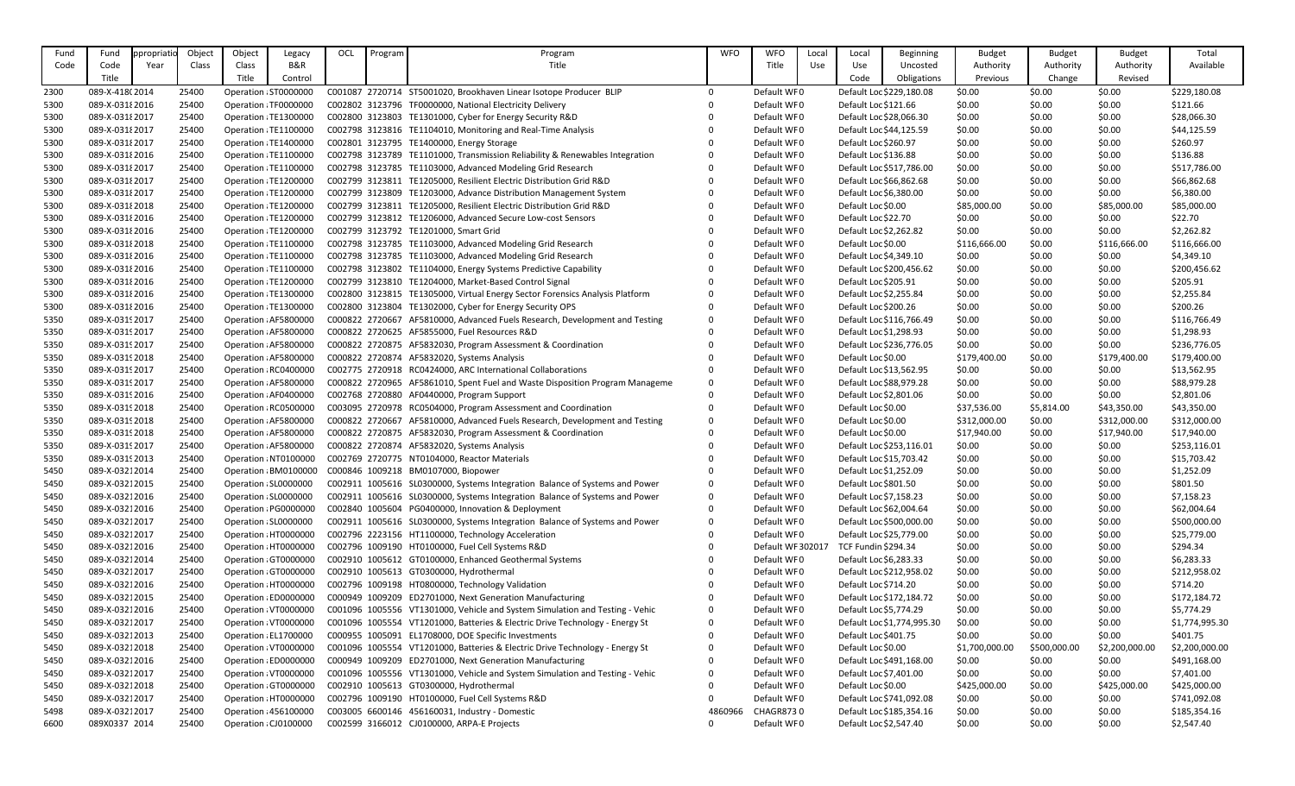| Fund         | Fund                             | ppropriatio | Object         | Object                                         | Legacy                | OCL | Program | Program                                                                                                                       | <b>WFO</b>   | <b>WFO</b>                 | Local | Local                   | <b>Beginning</b>           | <b>Budget</b>  | <b>Budget</b>    | <b>Budget</b>          | Total                      |
|--------------|----------------------------------|-------------|----------------|------------------------------------------------|-----------------------|-----|---------|-------------------------------------------------------------------------------------------------------------------------------|--------------|----------------------------|-------|-------------------------|----------------------------|----------------|------------------|------------------------|----------------------------|
| Code         | Code                             | Year        | Class          | Class                                          | B&R                   |     |         | Title                                                                                                                         |              | Title                      | Use   | Use                     | Uncosted                   | Authority      | Authority        | Authority              | Available                  |
|              | Title                            |             |                | Title                                          | Control               |     |         |                                                                                                                               |              |                            |       | Code                    | Obligations                | Previous       | Change           | Revised                |                            |
| 2300         | 089-X-418(2014                   |             | 25400          | Operation : ST0000000                          |                       |     |         | C001087 2720714 ST5001020, Brookhaven Linear Isotope Producer BLIP                                                            | $\Omega$     | Default WF0                |       |                         | Default Loc \$229,180.08   | \$0.00         | \$0.00           | \$0.00                 | \$229,180.08               |
| 5300         | 089-X-03182016                   |             | 25400          | Operation : TF0000000                          |                       |     |         | C002802 3123796 TF0000000, National Electricity Delivery                                                                      | $\Omega$     | Default WF0                |       | Default Loc \$121.66    |                            | \$0.00         | \$0.00           | \$0.00                 | \$121.66                   |
| 5300         | 089-X-03182017                   |             | 25400          | Operation : TE1300000                          |                       |     |         | C002800 3123803 TE1301000, Cyber for Energy Security R&D                                                                      |              | Default WF0                |       | Default Loc \$28,066.30 |                            | \$0.00         | \$0.00           | \$0.00                 | \$28,066.30                |
| 5300         | 089-X-03182017                   |             | 25400          | Operation : TE1100000                          |                       |     |         | C002798 3123816 TE1104010, Monitoring and Real-Time Analysis                                                                  |              | Default WF0                |       | Default Loc \$44,125.59 |                            | \$0.00         | \$0.00           | \$0.00                 | \$44,125.59                |
| 5300         | 089-X-03182017                   |             | 25400          | Operation : TE1400000                          |                       |     |         | C002801 3123795 TE1400000, Energy Storage                                                                                     |              | Default WF0                |       | Default Loc \$260.97    |                            | \$0.00         | \$0.00           | \$0.00                 | \$260.97                   |
| 5300         | 089-X-03182016                   |             | 25400          | Operation : TE1100000                          |                       |     |         | C002798 3123789 TE1101000, Transmission Reliability & Renewables Integration                                                  | 0            | Default WF0                |       | Default Loc \$136.88    |                            | \$0.00         | \$0.00           | \$0.00                 | \$136.88                   |
| 5300         | 089-X-03182017                   |             | 25400          | Operation : TE1100000                          |                       |     |         | C002798 3123785 TE1103000, Advanced Modeling Grid Research                                                                    | $\mathbf{0}$ | Default WF0                |       |                         | Default Loc \$517,786.00   | \$0.00         | \$0.00           | \$0.00                 | \$517,786.00               |
| 5300         | 089-X-03182017                   |             | 25400          | Operation : TE1200000                          |                       |     |         | C002799 3123811 TE1205000, Resilient Electric Distribution Grid R&D                                                           |              | Default WF0                |       | Default Loc \$66,862.68 |                            | \$0.00         | \$0.00           | \$0.00                 | \$66,862.68                |
| 5300         | 089-X-03182017                   |             | 25400          | Operation : TE1200000                          |                       |     |         | C002799 3123809 TE1203000, Advance Distribution Management System                                                             |              | Default WF0                |       | Default Loc \$6,380.00  |                            | \$0.00         | \$0.00           | \$0.00                 | \$6,380.00                 |
| 5300         | 089-X-03182018                   |             | 25400          | Operation : TE1200000                          |                       |     |         | C002799 3123811 TE1205000, Resilient Electric Distribution Grid R&D                                                           |              | Default WF0                |       | Default Loc \$0.00      |                            | \$85,000.00    | \$0.00           | \$85,000.00            | \$85,000.00                |
| 5300         | 089-X-03182016                   |             | 25400          |                                                | Operation : TE1200000 |     |         | C002799 3123812 TE1206000, Advanced Secure Low-cost Sensors                                                                   | 0            | Default WF0                |       | Default Loc \$22.70     |                            | \$0.00         | \$0.00           | \$0.00                 | \$22.70                    |
| 5300         | 089-X-03182016                   |             | 25400          | Operation : TE1200000                          |                       |     |         | C002799 3123792 TE1201000, Smart Grid                                                                                         | $\Omega$     | Default WF0                |       | Default Loc \$2,262.82  |                            | \$0.00         | \$0.00           | \$0.00                 | \$2,262.82                 |
|              |                                  |             | 25400          |                                                |                       |     |         | C002798 3123785 TE1103000, Advanced Modeling Grid Research                                                                    |              | Default WF0                |       | Default Loc \$0.00      |                            | \$116,666.00   |                  |                        | \$116,666.00               |
| 5300         | 089-X-03182018                   |             | 25400          | Operation : TE1100000<br>Operation : TE1100000 |                       |     |         |                                                                                                                               |              |                            |       |                         |                            | \$0.00         | \$0.00<br>\$0.00 | \$116,666.00<br>\$0.00 |                            |
| 5300         | 089-X-03182016                   |             |                | Operation : TE1100000                          |                       |     |         | C002798 3123785 TE1103000, Advanced Modeling Grid Research<br>C002798 3123802 TE1104000, Energy Systems Predictive Capability | $\Omega$     | Default WF0<br>Default WF0 |       | Default Loc \$4,349.10  | Default Loc \$200,456.62   | \$0.00         |                  |                        | \$4,349.10<br>\$200,456.62 |
| 5300<br>5300 | 089-X-03182016<br>089-X-03182016 |             | 25400<br>25400 | Operation : TE1200000                          |                       |     |         | C002799 3123810 TE1204000, Market-Based Control Signal                                                                        | $\mathbf{0}$ | Default WF0                |       | Default Loc \$205.91    |                            | \$0.00         | \$0.00<br>\$0.00 | \$0.00<br>\$0.00       | \$205.91                   |
|              |                                  |             |                |                                                |                       |     |         |                                                                                                                               |              |                            |       |                         |                            |                |                  |                        |                            |
| 5300         | 089-X-03182016                   |             | 25400          | Operation : TE1300000                          |                       |     |         | C002800 3123815 TE1305000, Virtual Energy Sector Forensics Analysis Platform                                                  | $\mathbf{0}$ | Default WF0                |       | Default Loc \$2,255.84  |                            | \$0.00         | \$0.00           | \$0.00                 | \$2,255.84                 |
| 5300         | 089-X-03182016                   |             | 25400          | Operation : TE1300000                          |                       |     |         | C002800 3123804 TE1302000, Cyber for Energy Security OPS                                                                      | $\mathbf{0}$ | Default WF0                |       | Default Loc \$200.26    |                            | \$0.00         | \$0.00           | \$0.00                 | \$200.26                   |
| 5350         | 089-X-03192017                   |             | 25400          | Operation : AF5800000                          |                       |     |         | C000822 2720667 AF5810000, Advanced Fuels Research, Development and Testing                                                   | 0            | Default WF0                |       |                         | Default Loc \$116,766.49   | \$0.00         | \$0.00           | \$0.00                 | \$116,766.49               |
| 5350         | 089-X-0319 2017                  |             | 25400          | Operation : AF5800000                          |                       |     |         | C000822 2720625 AF5855000, Fuel Resources R&D                                                                                 | $\Omega$     | Default WF0                |       | Default Loc \$1,298.93  |                            | \$0.00         | \$0.00           | \$0.00                 | \$1,298.93                 |
| 5350         | 089-X-0319 2017                  |             | 25400          | Operation : AF5800000                          |                       |     |         | C000822 2720875 AF5832030, Program Assessment & Coordination                                                                  |              | Default WF0                |       |                         | Default Loc \$236,776.05   | \$0.00         | \$0.00           | \$0.00                 | \$236,776.05               |
| 5350         | 089-X-0319 2018                  |             | 25400          | Operation : AF5800000                          |                       |     |         | C000822 2720874 AF5832020, Systems Analysis                                                                                   |              | Default WF0                |       | Default Loc \$0.00      |                            | \$179,400.00   | \$0.00           | \$179,400.00           | \$179,400.00               |
| 5350         | 089-X-0319 2017                  |             | 25400          |                                                | Operation : RC0400000 |     |         | C002775 2720918 RC0424000, ARC International Collaborations                                                                   | $\mathbf{0}$ | Default WF0                |       | Default Loc \$13,562.95 |                            | \$0.00         | \$0.00           | \$0.00                 | \$13,562.95                |
| 5350         | 089-X-0319 2017                  |             | 25400          | Operation : AF5800000                          |                       |     |         | C000822 2720965 AF5861010, Spent Fuel and Waste Disposition Program Manageme                                                  | 0            | Default WF0                |       | Default Loc \$88,979.28 |                            | \$0.00         | \$0.00           | \$0.00                 | \$88,979.28                |
| 5350         | 089-X-0319 2016                  |             | 25400          | Operation : AF0400000                          |                       |     |         | C002768 2720880 AF0440000, Program Support                                                                                    | $\Omega$     | Default WF0                |       | Default Loc \$2,801.06  |                            | \$0.00         | \$0.00           | \$0.00                 | \$2,801.06                 |
| 5350         | 089-X-0319 2018                  |             | 25400          | Operation : RC0500000                          |                       |     |         | C003095 2720978 RC0504000, Program Assessment and Coordination                                                                | $\mathbf{0}$ | Default WF0                |       | Default Loc \$0.00      |                            | \$37,536.00    | \$5,814.00       | \$43,350.00            | \$43,350.00                |
| 5350         | 089-X-0319 2018                  |             | 25400          |                                                | Operation : AF5800000 |     |         | C000822 2720667 AF5810000, Advanced Fuels Research, Development and Testing                                                   | 0            | Default WF0                |       | Default Loc \$0.00      |                            | \$312,000.00   | \$0.00           | \$312,000.00           | \$312,000.00               |
| 5350         | 089-X-0319 2018                  |             | 25400          |                                                | Operation : AF5800000 |     |         | C000822 2720875 AF5832030, Program Assessment & Coordination                                                                  | $\Omega$     | Default WF0                |       | Default Loc \$0.00      |                            | \$17,940.00    | \$0.00           | \$17,940.00            | \$17,940.00                |
| 5350         | 089-X-0319 2017                  |             | 25400          |                                                | Operation : AF5800000 |     |         | C000822 2720874 AF5832020, Systems Analysis                                                                                   | 0            | Default WF0                |       |                         | Default Loc \$253,116.01   | \$0.00         | \$0.00           | \$0.00                 | \$253,116.01               |
| 5350         | 089-X-0319 2013                  |             | 25400          |                                                | Operation : NT0100000 |     |         | C002769 2720775 NT0104000, Reactor Materials                                                                                  |              | Default WF0                |       | Default Loc \$15,703.42 |                            | \$0.00         | \$0.00           | \$0.00                 | \$15,703.42                |
| 5450         | 089-X-03212014                   |             | 25400          |                                                | Operation : BM0100000 |     |         | C000846 1009218 BM0107000, Biopower                                                                                           | $\mathbf{0}$ | Default WF0                |       | Default Loc \$1,252.09  |                            | \$0.00         | \$0.00           | \$0.00                 | \$1,252.09                 |
| 5450         | 089-X-03212015                   |             | 25400          | Operation : SL0000000                          |                       |     |         | C002911 1005616 SL0300000, Systems Integration Balance of Systems and Power                                                   | 0            | Default WF0                |       | Default Loc \$801.50    |                            | \$0.00         | \$0.00           | \$0.00                 | \$801.50                   |
| 5450         | 089-X-03212016                   |             | 25400          | Operation : SL0000000                          |                       |     |         | C002911 1005616 SL0300000, Systems Integration Balance of Systems and Power                                                   | 0            | Default WF0                |       | Default Loc \$7,158.23  |                            | \$0.00         | \$0.00           | \$0.00                 | \$7,158.23                 |
| 5450         | 089-X-03212016                   |             | 25400          |                                                | Operation : PG0000000 |     |         | C002840 1005604 PG0400000, Innovation & Deployment                                                                            | 0            | Default WF0                |       | Default Loc \$62,004.64 |                            | \$0.00         | \$0.00           | \$0.00                 | \$62,004.64                |
| 5450         | 089-X-03212017                   |             | 25400          | Operation : SL0000000                          |                       |     |         | C002911 1005616 SL0300000, Systems Integration Balance of Systems and Power                                                   | 0            | Default WF0                |       |                         | Default Loc \$500,000.00   | \$0.00         | \$0.00           | \$0.00                 | \$500,000.00               |
| 5450         | 089-X-03212017                   |             | 25400          |                                                | Operation : HT0000000 |     |         | C002796 2223156 HT1100000, Technology Acceleration                                                                            | $\mathbf{0}$ | Default WF0                |       | Default Loc \$25,779.00 |                            | \$0.00         | \$0.00           | \$0.00                 | \$25,779.00                |
| 5450         | 089-X-03212016                   |             | 25400          |                                                | Operation : HT0000000 |     |         | C002796 1009190 HT0100000, Fuel Cell Systems R&D                                                                              |              | Default WF 302017          |       | TCF Fundin \$294.34     |                            | \$0.00         | \$0.00           | \$0.00                 | \$294.34                   |
| 5450         | 089-X-03212014                   |             | 25400          |                                                | Operation : GT0000000 |     |         | C002910 1005612 GT0100000, Enhanced Geothermal Systems                                                                        |              | Default WF0                |       | Default Loc \$6,283.33  |                            | \$0.00         | \$0.00           | \$0.00                 | \$6,283.33                 |
| 5450         | 089-X-03212017                   |             | 25400          |                                                | Operation : GT0000000 |     |         | C002910 1005613 GT0300000, Hydrothermal                                                                                       |              | Default WF0                |       |                         | Default Loc \$212,958.02   | \$0.00         | \$0.00           | \$0.00                 | \$212,958.02               |
| 5450         | 089-X-03212016                   |             | 25400          |                                                | Operation : HT0000000 |     |         | C002796 1009198 HT0800000, Technology Validation                                                                              |              | Default WF0                |       | Default Loc \$714.20    |                            | \$0.00         | \$0.00           | \$0.00                 | \$714.20                   |
| 5450         | 089-X-03212015                   |             | 25400          |                                                | Operation : ED0000000 |     |         | C000949 1009209 ED2701000, Next Generation Manufacturing                                                                      | 0            | Default WF0                |       |                         | Default Loc \$172,184.72   | \$0.00         | \$0.00           | \$0.00                 | \$172,184.72               |
| 5450         | 089-X-03212016                   |             | 25400          |                                                | Operation : VT0000000 |     |         | C001096 1005556 VT1301000, Vehicle and System Simulation and Testing - Vehic                                                  | 0            | Default WF0                |       | Default Loc \$5,774.29  |                            | \$0.00         | \$0.00           | \$0.00                 | \$5,774.29                 |
| 5450         | 089-X-03212017                   |             | 25400          |                                                | Operation : VT0000000 |     |         | C001096 1005554 VT1201000, Batteries & Electric Drive Technology - Energy St                                                  | 0            | Default WF0                |       |                         | Default Loc \$1,774,995.30 | \$0.00         | \$0.00           | \$0.00                 | \$1,774,995.30             |
| 5450         | 089-X-03212013                   |             | 25400          | Operation : EL1700000                          |                       |     |         | C000955 1005091 EL1708000, DOE Specific Investments                                                                           | 0            | Default WF0                |       | Default Loc \$401.75    |                            | \$0.00         | \$0.00           | \$0.00                 | \$401.75                   |
| 5450         | 089-X-03212018                   |             | 25400          | Operation : VT0000000                          |                       |     |         | C001096 1005554 VT1201000, Batteries & Electric Drive Technology - Energy St                                                  | 0            | Default WF0                |       | Default Loc \$0.00      |                            | \$1,700,000.00 | \$500,000.00     | \$2,200,000.00         | \$2,200,000.00             |
| 5450         | 089-X-03212016                   |             | 25400          |                                                | Operation : ED0000000 |     |         | C000949 1009209 ED2701000, Next Generation Manufacturing                                                                      | 0            | Default WF0                |       |                         | Default Loc \$491,168.00   | \$0.00         | \$0.00           | \$0.00                 | \$491,168.00               |
| 5450         | 089-X-03212017                   |             | 25400          |                                                | Operation : VT0000000 |     |         | C001096 1005556 VT1301000, Vehicle and System Simulation and Testing - Vehic                                                  | 0            | Default WF0                |       | Default Loc \$7,401.00  |                            | \$0.00         | \$0.00           | \$0.00                 | \$7,401.00                 |
| 5450         | 089-X-03212018                   |             | 25400          |                                                | Operation : GT0000000 |     |         | C002910 1005613 GT0300000, Hydrothermal                                                                                       | 0            | Default WF0                |       | Default Loc \$0.00      |                            | \$425,000.00   | \$0.00           | \$425,000.00           | \$425,000.00               |
| 5450         | 089-X-03212017                   |             | 25400          |                                                | Operation : HT0000000 |     |         | C002796 1009190 HT0100000, Fuel Cell Systems R&D                                                                              |              | Default WF0                |       |                         | Default Loc \$741,092.08   | \$0.00         | \$0.00           | \$0.00                 | \$741,092.08               |
| 5498         | 089-X-03212017                   |             | 25400          |                                                | Operation : 456100000 |     |         | C003005 6600146 456160031, Industry - Domestic                                                                                | 4860966      | <b>CHAGR8730</b>           |       |                         | Default Loc \$185,354.16   | \$0.00         | \$0.00           | \$0.00                 | \$185,354.16               |
| 6600         | 089X0337 2014                    |             | 25400          |                                                | Operation : CJ0100000 |     |         | C002599 3166012 CJ0100000, ARPA-E Projects                                                                                    | 0            | Default WF0                |       | Default Loc \$2,547.40  |                            | \$0.00         | \$0.00           | \$0.00                 | \$2,547.40                 |